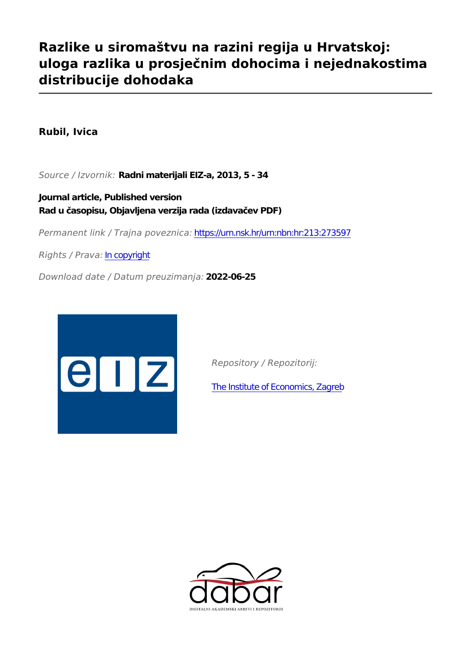# **Razlike u siromaštvu na razini regija u Hrvatskoj: uloga razlika u prosječnim dohocima i nejednakostima distribucije dohodaka**

**Rubil, Ivica**

*Source / Izvornik:* **Radni materijali EIZ-a, 2013, 5 - 34**

**Journal article, Published version Rad u časopisu, Objavljena verzija rada (izdavačev PDF)**

*Permanent link / Trajna poveznica:* <https://urn.nsk.hr/urn:nbn:hr:213:273597>

*Rights / Prava:* [In copyright](http://rightsstatements.org/vocab/InC/1.0/)

*Download date / Datum preuzimanja:* **2022-06-25**



*Repository / Repozitorij:*

[The Institute of Economics, Zagreb](https://repozitorij.eizg.hr)

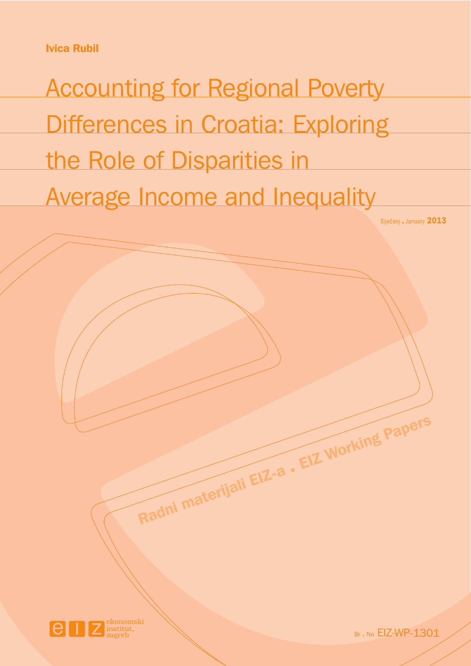**Ivica Rubil**

Accounting for Regional Poverty Differences in Croatia: Exploring the Role of Disparities in Average Income and Inequality

**Radni materijali EIZ-a EIZ Working Papers .**

Siječanj . January **2013** 



Br . No EIZ-WP-1301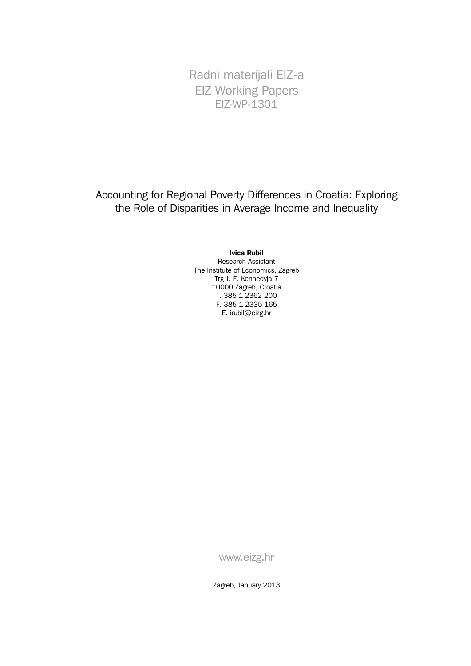Radni materijali EIZ-a EIZ Working Papers EIZ-WP-1301

Accounting for Regional Poverty Differences in Croatia: Exploring the Role of Disparities in Average Income and Inequality

#### **Ivica Rubil**

Research Assistant The Institute of Economics, Zagreb Trg J. F. Kennedyja 7 10000 Zagreb, Croatia T. 385 1 2362 200 F. 385 1 2335 165 E. irubil@eizg.hr

www.eizg.hr

Zagreb, January 2013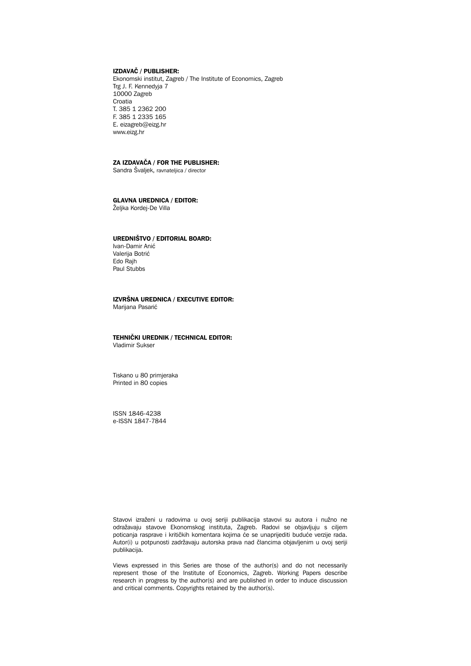#### **IZDAVAÈ / PUBLISHER:**

Ekonomski institut, Zagreb / The Institute of Economics, Zagreb Trg J. F. Kennedyja 7 10000 Zagreb Croatia T. 385 1 2362 200 F. 385 1 2335 165 E. eizagreb@eizg.hr www.eizg.hr

#### **ZA IZDAVAÈA / FOR THE PUBLISHER:**

Sandra Švaljek, ravnateljica / director

#### **GLAVNA UREDNICA / EDITOR:**

Željka Kordej-De Villa

#### **UREDNIŠTVO / EDITORIAL BOARD:**

Ivan-Damir Anić Valerija Botrić Edo Rajh Paul Stubbs

#### **IZVRŠNA UREDNICA / EXECUTIVE EDITOR:** Marijana Pasarić

#### **TEHNIÈKI UREDNIK / TECHNICAL EDITOR:** Vladimir Sukser

Tiskano u 80 primjeraka Printed in 80 copies

ISSN 1846-4238 e-ISSN 1847-7844

Stavovi izraženi u radovima u ovoj seriji publikacija stavovi su autora i nužno ne odražavaju stavove Ekonomskog instituta, Zagreb. Radovi se objavljuju s ciljem poticanja rasprave i kritičkih komentara kojima će se unaprijediti buduće verzije rada. Autor(i) u potpunosti zadržavaju autorska prava nad člancima objavljenim u ovoj seriji publikacija.

Views expressed in this Series are those of the author(s) and do not necessarily represent those of the Institute of Economics, Zagreb. Working Papers describe research in progress by the author(s) and are published in order to induce discussion and critical comments. Copyrights retained by the author(s).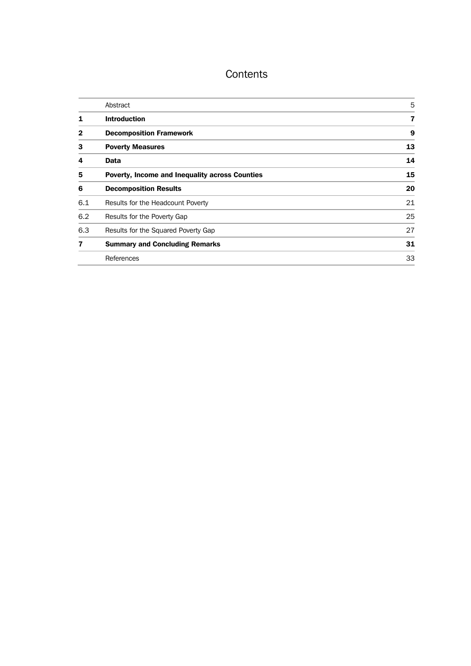# **Contents**

|     | Abstract                                       | 5  |
|-----|------------------------------------------------|----|
| 1   | <b>Introduction</b>                            | 7  |
| 2   | <b>Decomposition Framework</b>                 | 9  |
| 3   | <b>Poverty Measures</b>                        | 13 |
| 4   | Data                                           | 14 |
| 5   | Poverty, Income and Inequality across Counties | 15 |
| 6   | <b>Decomposition Results</b>                   | 20 |
| 6.1 | Results for the Headcount Poverty              | 21 |
| 6.2 | Results for the Poverty Gap                    | 25 |
| 6.3 | Results for the Squared Poverty Gap            | 27 |
| 7   | <b>Summary and Concluding Remarks</b>          | 31 |
|     | References                                     | 33 |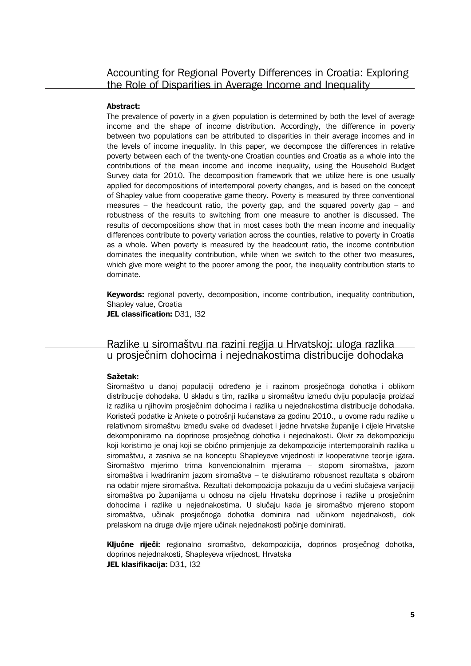### **Abstract:**

The prevalence of poverty in a given population is determined by both the level of average income and the shape of income distribution. Accordingly, the difference in poverty between two populations can be attributed to disparities in their average incomes and in the levels of income inequality. In this paper, we decompose the differences in relative poverty between each of the twenty-one Croatian counties and Croatia as a whole into the contributions of the mean income and income inequality, using the Household Budget Survey data for 2010. The decomposition framework that we utilize here is one usually applied for decompositions of intertemporal poverty changes, and is based on the concept of Shapley value from cooperative game theory. Poverty is measured by three conventional measures – the headcount ratio, the poverty gap, and the squared poverty gap – and robustness of the results to switching from one measure to another is discussed. The results of decompositions show that in most cases both the mean income and inequality differences contribute to poverty variation across the counties, relative to poverty in Croatia as a whole. When poverty is measured by the headcount ratio, the income contribution dominates the inequality contribution, while when we switch to the other two measures, which give more weight to the poorer among the poor, the inequality contribution starts to dominate.

**Keywords:** regional poverty, decomposition, income contribution, inequality contribution, Shapley value, Croatia **JEL classification:** D31, I32

# Razlike u siromaštvu na razini regija u Hrvatskoj: uloga razlika u prosjeènim dohocima i nejednakostima distribucije dohodaka

### **Saetak:**

Siromaštvo u danoj populaciji odreðeno je i razinom prosjeènoga dohotka i oblikom distribucije dohodaka. U skladu s tim, razlika u siromaštvu izmeðu dviju populacija proizlazi iz razlika u njihovim prosječnim dohocima i razlika u nejednakostima distribucije dohodaka. Koristeći podatke iz Ankete o potrošnji kućanstava za godinu 2010., u ovome radu razlike u relativnom siromaštvu između svake od dvadeset i jedne hrvatske županije i cijele Hrvatske dekomponiramo na doprinose prosjeènog dohotka i nejednakosti. Okvir za dekompoziciju koji koristimo je onaj koji se obièno primjenjuje za dekompozicije intertemporalnih razlika u siromaštvu, a zasniva se na konceptu Shapleyeve vrijednosti iz kooperativne teorije igara. Siromaštvo mjerimo trima konvencionalnim mjerama – stopom siromaštva, jazom siromaštva i kvadriranim jazom siromaštva – te diskutiramo robusnost rezultata s obzirom na odabir mjere siromaštva. Rezultati dekompozicija pokazuju da u većini slučajeva varijaciji siromaštva po županijama u odnosu na cijelu Hrvatsku doprinose i razlike u prosječnim dohocima i razlike u nejednakostima. U sluèaju kada je siromaštvo mjereno stopom siromaštva, uèinak prosjeènoga dohotka dominira nad uèinkom nejednakosti, dok prelaskom na druge dvije mjere učinak nejednakosti počinje dominirati.

**Kljuène rijeèi:** regionalno siromaštvo, dekompozicija, doprinos prosjeènog dohotka, doprinos nejednakosti, Shapleyeva vrijednost, Hrvatska **JEL klasifikacija:** D31, I32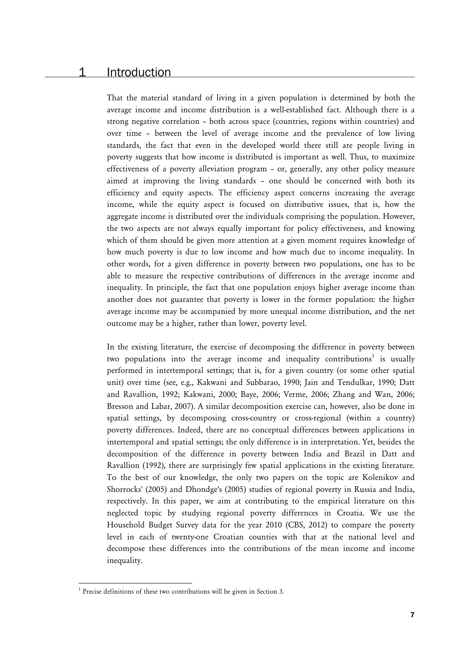# 1 Introduction

That the material standard of living in a given population is determined by both the average income and income distribution is a well-established fact. Although there is a strong negative correlation – both across space (countries, regions within countries) and over time – between the level of average income and the prevalence of low living standards, the fact that even in the developed world there still are people living in poverty suggests that how income is distributed is important as well. Thus, to maximize effectiveness of a poverty alleviation program – or, generally, any other policy measure aimed at improving the living standards – one should be concerned with both its efficiency and equity aspects. The efficiency aspect concerns increasing the average income, while the equity aspect is focused on distributive issues, that is, how the aggregate income is distributed over the individuals comprising the population. However, the two aspects are not always equally important for policy effectiveness, and knowing which of them should be given more attention at a given moment requires knowledge of how much poverty is due to low income and how much due to income inequality. In other words, for a given difference in poverty between two populations, one has to be able to measure the respective contributions of differences in the average income and inequality. In principle, the fact that one population enjoys higher average income than another does not guarantee that poverty is lower in the former population: the higher average income may be accompanied by more unequal income distribution, and the net outcome may be a higher, rather than lower, poverty level.

In the existing literature, the exercise of decomposing the difference in poverty between two populations into the average income and inequality contributions $^1$  is usually performed in intertemporal settings; that is, for a given country (or some other spatial unit) over time (see, e.g., Kakwani and Subbarao, 1990; Jain and Tendulkar, 1990; Datt and Ravallion, 1992; Kakwani, 2000; Baye, 2006; Verme, 2006; Zhang and Wan, 2006; Bresson and Labar, 2007). A similar decomposition exercise can, however, also be done in spatial settings, by decomposing cross-country or cross-regional (within a country) poverty differences. Indeed, there are no conceptual differences between applications in intertemporal and spatial settings; the only difference is in interpretation. Yet, besides the decomposition of the difference in poverty between India and Brazil in Datt and Ravallion (1992), there are surprisingly few spatial applications in the existing literature. To the best of our knowledge, the only two papers on the topic are Kolenikov and Shorrocks' (2005) and Dhondge's (2005) studies of regional poverty in Russia and India, respectively. In this paper, we aim at contributing to the empirical literature on this neglected topic by studying regional poverty differences in Croatia. We use the Household Budget Survey data for the year 2010 (CBS, 2012) to compare the poverty level in each of twenty-one Croatian counties with that at the national level and decompose these differences into the contributions of the mean income and income inequality.

 $\overline{a}$ 

 $1$  Precise definitions of these two contributions will be given in Section 3.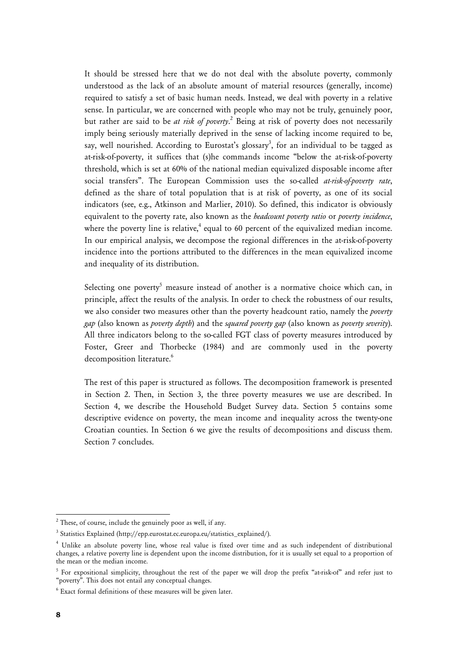It should be stressed here that we do not deal with the absolute poverty, commonly understood as the lack of an absolute amount of material resources (generally, income) required to satisfy a set of basic human needs. Instead, we deal with poverty in a relative sense. In particular, we are concerned with people who may not be truly, genuinely poor, but rather are said to be *at risk of poverty*. 2 Being at risk of poverty does not necessarily imply being seriously materially deprived in the sense of lacking income required to be, say, well nourished. According to Eurostat's glossary<sup>3</sup>, for an individual to be tagged as at-risk-of-poverty, it suffices that (s)he commands income "below the at-risk-of-poverty threshold, which is set at 60% of the national median equivalized disposable income after social transfers". The European Commission uses the so-called *at-risk-of-poverty rate*, defined as the share of total population that is at risk of poverty, as one of its social indicators (see, e.g., Atkinson and Marlier, 2010). So defined, this indicator is obviously equivalent to the poverty rate, also known as the *headcount poverty ratio* or *poverty incidence*, where the poverty line is relative, $4$  equal to 60 percent of the equivalized median income. In our empirical analysis, we decompose the regional differences in the at-risk-of-poverty incidence into the portions attributed to the differences in the mean equivalized income and inequality of its distribution.

Selecting one poverty<sup>5</sup> measure instead of another is a normative choice which can, in principle, affect the results of the analysis. In order to check the robustness of our results, we also consider two measures other than the poverty headcount ratio, namely the *poverty gap* (also known as *poverty depth*) and the *squared poverty gap* (also known as *poverty severity*). All three indicators belong to the so-called FGT class of poverty measures introduced by Foster, Greer and Thorbecke (1984) and are commonly used in the poverty decomposition literature.<sup>6</sup>

The rest of this paper is structured as follows. The decomposition framework is presented in Section 2. Then, in Section 3, the three poverty measures we use are described. In Section 4, we describe the Household Budget Survey data. Section 5 contains some descriptive evidence on poverty, the mean income and inequality across the twenty-one Croatian counties. In Section 6 we give the results of decompositions and discuss them. Section 7 concludes.

<u>.</u>

 $2$  These, of course, include the genuinely poor as well, if any.

<sup>&</sup>lt;sup>3</sup> Statistics Explained (http://epp.eurostat.ec.europa.eu/statistics\_explained/).

<sup>4</sup> Unlike an absolute poverty line, whose real value is fixed over time and as such independent of distributional changes, a relative poverty line is dependent upon the income distribution, for it is usually set equal to a proportion of the mean or the median income.

<sup>&</sup>lt;sup>5</sup> For expositional simplicity, throughout the rest of the paper we will drop the prefix "at-risk-of" and refer just to "poverty". This does not entail any conceptual changes.

 $6$  Exact formal definitions of these measures will be given later.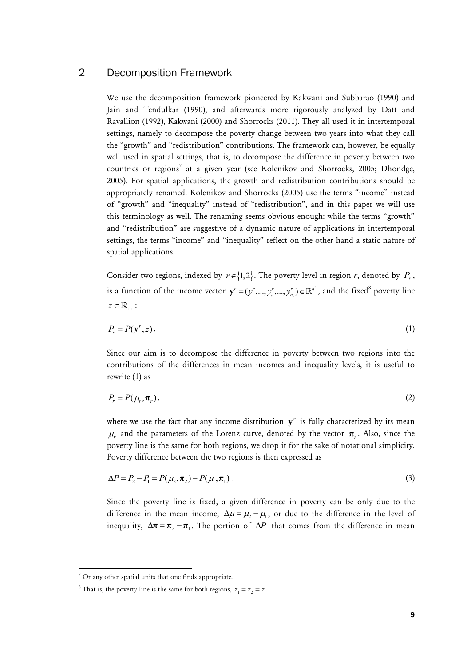# 2 Decomposition Framework

We use the decomposition framework pioneered by Kakwani and Subbarao (1990) and Jain and Tendulkar (1990), and afterwards more rigorously analyzed by Datt and Ravallion (1992), Kakwani (2000) and Shorrocks (2011). They all used it in intertemporal settings, namely to decompose the poverty change between two years into what they call the "growth" and "redistribution" contributions. The framework can, however, be equally well used in spatial settings, that is, to decompose the difference in poverty between two countries or regions<sup>7</sup> at a given year (see Kolenikov and Shorrocks, 2005; Dhondge, 2005). For spatial applications, the growth and redistribution contributions should be appropriately renamed. Kolenikov and Shorrocks (2005) use the terms "income" instead of "growth" and "inequality" instead of "redistribution", and in this paper we will use this terminology as well. The renaming seems obvious enough: while the terms "growth" and "redistribution" are suggestive of a dynamic nature of applications in intertemporal settings, the terms "income" and "inequality" reflect on the other hand a static nature of spatial applications.

Consider two regions, indexed by  $r \in \{1,2\}$ . The poverty level in region *r*, denoted by  $P_r$ , is a function of the income vector  $\mathbf{y}' = (y'_1, ..., y'_i, ..., y'_{n_r}) \in \mathbb{R}^{n'}$  $\mathbf{y}^r = (y_1^r, ..., y_i^r, ..., y_{n_r}^r) \in \mathbb{R}^{n^r}$ , and the fixed<sup>8</sup> poverty line  $z \in \mathbb{R}_{++}$ :

$$
P_r = P(\mathbf{y}^r, z). \tag{1}
$$

Since our aim is to decompose the difference in poverty between two regions into the contributions of the differences in mean incomes and inequality levels, it is useful to rewrite (1) as

$$
P_r = P(\mu_r, \boldsymbol{\pi}_r), \tag{2}
$$

where we use the fact that any income distribution  $y<sup>r</sup>$  is fully characterized by its mean  $\mu$  and the parameters of the Lorenz curve, denoted by the vector  $\pi$ . Also, since the poverty line is the same for both regions, we drop it for the sake of notational simplicity. Poverty difference between the two regions is then expressed as

$$
\Delta P = P_2 - P_1 = P(\mu_2, \pi_2) - P(\mu_1, \pi_1).
$$
\n(3)

Since the poverty line is fixed, a given difference in poverty can be only due to the difference in the mean income,  $\Delta \mu = \mu_2 - \mu_1$ , or due to the difference in the level of inequality,  $\Delta \pi = \pi_2 - \pi_1$ . The portion of  $\Delta P$  that comes from the difference in mean

 $\overline{a}$ 

 $7$  Or any other spatial units that one finds appropriate.

<sup>&</sup>lt;sup>8</sup> That is, the poverty line is the same for both regions,  $z_1 = z_2 = z$ .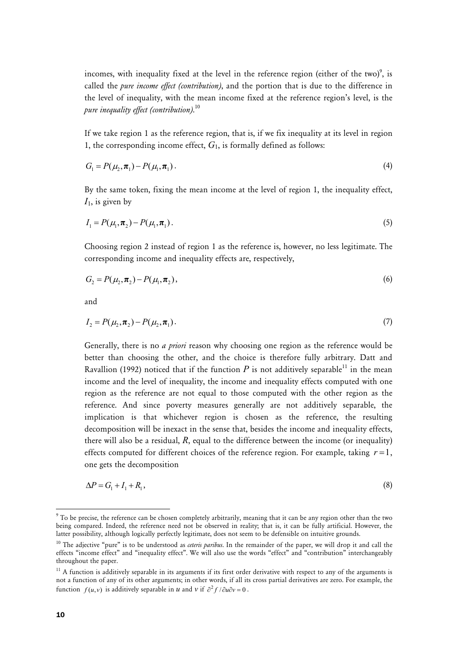incomes, with inequality fixed at the level in the reference region (either of the two)<sup>9</sup>, is called the *pure income effect (contribution)*, and the portion that is due to the difference in the level of inequality, with the mean income fixed at the reference region's level, is the *pure inequality effect (contribution)*. 10

If we take region 1 as the reference region, that is, if we fix inequality at its level in region 1, the corresponding income effect,  $G<sub>1</sub>$ , is formally defined as follows:

$$
G_1 = P(\mu_2, \boldsymbol{\pi}_1) - P(\mu_1, \boldsymbol{\pi}_1). \tag{4}
$$

By the same token, fixing the mean income at the level of region 1, the inequality effect, *I*1, is given by

$$
I_1 = P(\mu_1, \boldsymbol{\pi}_2) - P(\mu_1, \boldsymbol{\pi}_1). \tag{5}
$$

Choosing region 2 instead of region 1 as the reference is, however, no less legitimate. The corresponding income and inequality effects are, respectively,

$$
G_2 = P(\mu_2, \pi_2) - P(\mu_1, \pi_2), \tag{6}
$$

and

$$
I_2 = P(\mu_2, \pi_2) - P(\mu_2, \pi_1). \tag{7}
$$

Generally, there is no *a priori* reason why choosing one region as the reference would be better than choosing the other, and the choice is therefore fully arbitrary. Datt and Ravallion (1992) noticed that if the function  $P$  is not additively separable<sup>11</sup> in the mean income and the level of inequality, the income and inequality effects computed with one region as the reference are not equal to those computed with the other region as the reference. And since poverty measures generally are not additively separable, the implication is that whichever region is chosen as the reference, the resulting decomposition will be inexact in the sense that, besides the income and inequality effects, there will also be a residual,  $R$ , equal to the difference between the income (or inequality) effects computed for different choices of the reference region. For example, taking  $r=1$ , one gets the decomposition

$$
\Delta P = G_1 + I_1 + R_1,\tag{8}
$$

1

 $^9$  To be precise, the reference can be chosen completely arbitrarily, meaning that it can be any region other than the two being compared. Indeed, the reference need not be observed in reality; that is, it can be fully artificial. However, the latter possibility, although logically perfectly legitimate, does not seem to be defensible on intuitive grounds.

<sup>10</sup> The adjective "pure" is to be understood as *ceteris paribus*. In the remainder of the paper, we will drop it and call the effects "income effect" and "inequality effect". We will also use the words "effect" and "contribution" interchangeably throughout the paper.

 $11$  A function is additively separable in its arguments if its first order derivative with respect to any of the arguments is not a function of any of its other arguments; in other words, if all its cross partial derivatives are zero. For example, the function  $f(u, v)$  is additively separable in *u* and *v* if  $\partial^2 f / \partial u \partial v = 0$ .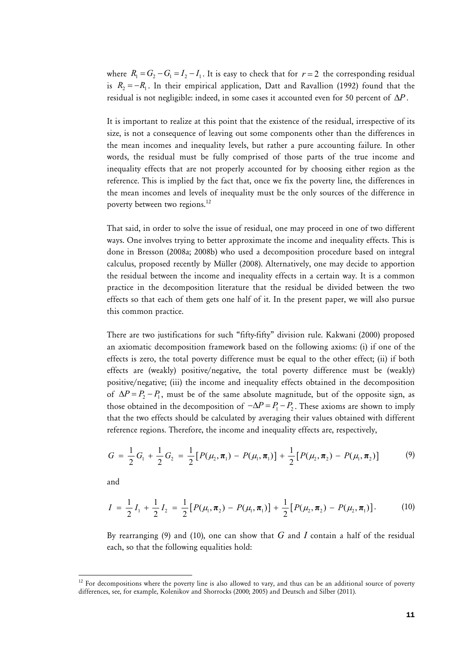where  $R_1 = G_2 - G_1 = I_2 - I_1$ . It is easy to check that for  $r = 2$  the corresponding residual is  $R_2 = -R_1$ . In their empirical application, Datt and Ravallion (1992) found that the residual is not negligible: indeed, in some cases it accounted even for 50 percent of  $\Delta P$ .

It is important to realize at this point that the existence of the residual, irrespective of its size, is not a consequence of leaving out some components other than the differences in the mean incomes and inequality levels, but rather a pure accounting failure. In other words, the residual must be fully comprised of those parts of the true income and inequality effects that are not properly accounted for by choosing either region as the reference. This is implied by the fact that, once we fix the poverty line, the differences in the mean incomes and levels of inequality must be the only sources of the difference in poverty between two regions.<sup>12</sup>

That said, in order to solve the issue of residual, one may proceed in one of two different ways. One involves trying to better approximate the income and inequality effects. This is done in Bresson (2008a; 2008b) who used a decomposition procedure based on integral calculus, proposed recently by Müller (2008). Alternatively, one may decide to apportion the residual between the income and inequality effects in a certain way. It is a common practice in the decomposition literature that the residual be divided between the two effects so that each of them gets one half of it. In the present paper, we will also pursue this common practice.

There are two justifications for such "fifty-fifty" division rule. Kakwani (2000) proposed an axiomatic decomposition framework based on the following axioms: (i) if one of the effects is zero, the total poverty difference must be equal to the other effect; (ii) if both effects are (weakly) positive/negative, the total poverty difference must be (weakly) positive/negative; (iii) the income and inequality effects obtained in the decomposition of  $\Delta P = P_2 - P_1$ , must be of the same absolute magnitude, but of the opposite sign, as those obtained in the decomposition of  $-\Delta P = P_1 - P_2$ . These axioms are shown to imply that the two effects should be calculated by averaging their values obtained with different reference regions. Therefore, the income and inequality effects are, respectively,

$$
G = \frac{1}{2}G_1 + \frac{1}{2}G_2 = \frac{1}{2}[P(\mu_2, \pi_1) - P(\mu_1, \pi_1)] + \frac{1}{2}[P(\mu_2, \pi_2) - P(\mu_1, \pi_2)] \tag{9}
$$

and

 $\overline{a}$ 

$$
I = \frac{1}{2}I_1 + \frac{1}{2}I_2 = \frac{1}{2}[P(\mu_1, \pi_2) - P(\mu_1, \pi_1)] + \frac{1}{2}[P(\mu_2, \pi_2) - P(\mu_2, \pi_1)].
$$
 (10)

By rearranging (9) and (10), one can show that *G* and *I* contain a half of the residual each, so that the following equalities hold:

 $12$  For decompositions where the poverty line is also allowed to vary, and thus can be an additional source of poverty differences, see, for example, Kolenikov and Shorrocks (2000; 2005) and Deutsch and Silber (2011).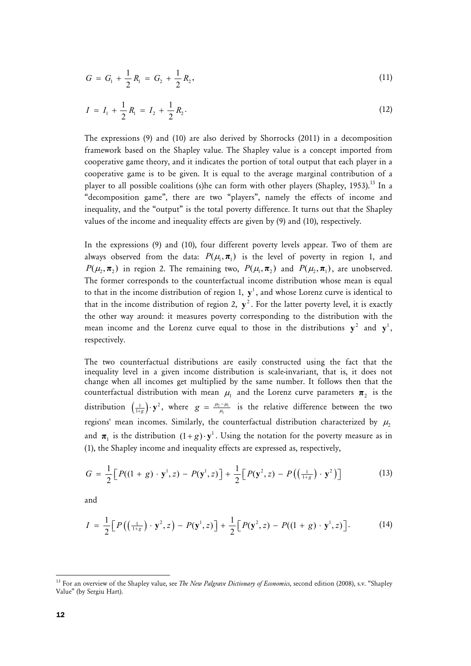$$
G = G_1 + \frac{1}{2} R_1 = G_2 + \frac{1}{2} R_2,
$$
\n(11)

$$
I = I_1 + \frac{1}{2} R_1 = I_2 + \frac{1}{2} R_2.
$$
 (12)

The expressions (9) and (10) are also derived by Shorrocks (2011) in a decomposition framework based on the Shapley value. The Shapley value is a concept imported from cooperative game theory, and it indicates the portion of total output that each player in a cooperative game is to be given. It is equal to the average marginal contribution of a player to all possible coalitions (s)he can form with other players (Shapley, 1953).<sup>13</sup> In a "decomposition game", there are two "players", namely the effects of income and inequality, and the "output" is the total poverty difference. It turns out that the Shapley values of the income and inequality effects are given by (9) and (10), respectively.

In the expressions (9) and (10), four different poverty levels appear. Two of them are always observed from the data:  $P(\mu_1, \pi_1)$  is the level of poverty in region 1, and  $P(\mu_2, \pi_2)$  in region 2. The remaining two,  $P(\mu_1, \pi_2)$  and  $P(\mu_2, \pi_1)$ , are unobserved. The former corresponds to the counterfactual income distribution whose mean is equal to that in the income distribution of region 1,  $y<sup>1</sup>$ , and whose Lorenz curve is identical to that in the income distribution of region 2,  $y^2$ . For the latter poverty level, it is exactly the other way around: it measures poverty corresponding to the distribution with the mean income and the Lorenz curve equal to those in the distributions  $y^2$  and  $y^1$ , respectively.

The two counterfactual distributions are easily constructed using the fact that the inequality level in a given income distribution is scale-invariant, that is, it does not change when all incomes get multiplied by the same number. It follows then that the counterfactual distribution with mean  $\mu_1$  and the Lorenz curve parameters  $\pi_2$  is the distribution  $\left(\frac{1}{1+g}\right) \cdot y^2$ , where  $g = \frac{\mu_2 - \mu_1}{\mu_1}$  is the relative difference between the two regions' mean incomes. Similarly, the counterfactual distribution characterized by  $\mu_2$ and  $\pi_1$  is the distribution  $(1 + g) \cdot y^1$ . Using the notation for the poverty measure as in (1), the Shapley income and inequality effects are expressed as, respectively,

$$
G = \frac{1}{2} \Big[ P((1+g)\cdot \mathbf{y}^1, z) - P(\mathbf{y}^1, z) \Big] + \frac{1}{2} \Big[ P(\mathbf{y}^2, z) - P\left( \left( \frac{1}{1+g} \right) \cdot \mathbf{y}^2 \right) \Big] \tag{13}
$$

and

$$
I = \frac{1}{2} \Big[ P\big( \big( \tfrac{1}{1+g} \big) \cdot \mathbf{y}^2, z \big) - P(\mathbf{y}^1, z) \Big] + \frac{1}{2} \Big[ P(\mathbf{y}^2, z) - P((1+g) \cdot \mathbf{y}^1, z) \Big]. \tag{14}
$$

<u>.</u>

<sup>&</sup>lt;sup>13</sup> For an overview of the Shapley value, see *The New Palgrave Dictionary of Economics*, second edition (2008), s.v. "Shapley Value" (by Sergiu Hart).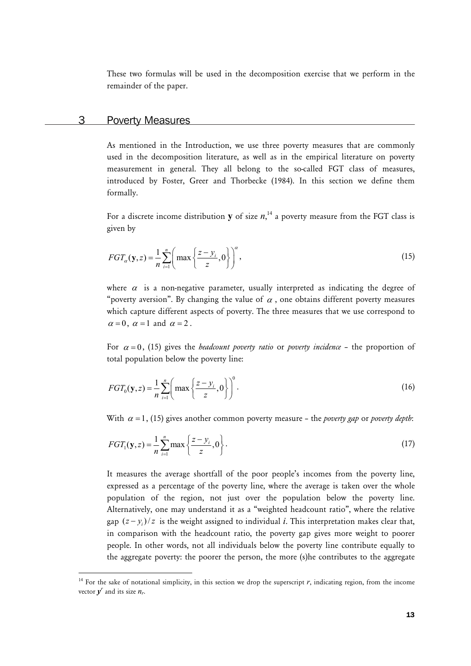These two formulas will be used in the decomposition exercise that we perform in the remainder of the paper.

# 3 Poverty Measures

 $\overline{a}$ 

As mentioned in the Introduction, we use three poverty measures that are commonly used in the decomposition literature, as well as in the empirical literature on poverty measurement in general. They all belong to the so-called FGT class of measures, introduced by Foster, Greer and Thorbecke (1984). In this section we define them formally.

For a discrete income distribution  $y$  of size  $n,$ <sup>14</sup> a poverty measure from the FGT class is given by

$$
FGT_{\alpha}(\mathbf{y},z) = \frac{1}{n} \sum_{i=1}^{n} \left( \max \left\{ \frac{z - y_i}{z}, 0 \right\} \right)^{\alpha},\tag{15}
$$

where  $\alpha$  is a non-negative parameter, usually interpreted as indicating the degree of "poverty aversion". By changing the value of  $\alpha$ , one obtains different poverty measures which capture different aspects of poverty. The three measures that we use correspond to  $\alpha = 0$ ,  $\alpha = 1$  and  $\alpha = 2$ .

For  $\alpha = 0$ , (15) gives the *headcount poverty ratio* or *poverty incidence* – the proportion of total population below the poverty line:

$$
FGT_0(\mathbf{y}, z) = \frac{1}{n} \sum_{i=1}^n \left( \max \left\{ \frac{z - y_i}{z}, 0 \right\} \right)^0.
$$
 (16)

With  $\alpha = 1$ , (15) gives another common poverty measure – the *poverty gap* or *poverty depth*:

$$
FGT_1(y,z) = \frac{1}{n} \sum_{i=1}^n \max \left\{ \frac{z - y_i}{z}, 0 \right\}.
$$
 (17)

It measures the average shortfall of the poor people's incomes from the poverty line, expressed as a percentage of the poverty line, where the average is taken over the whole population of the region, not just over the population below the poverty line. Alternatively, one may understand it as a "weighted headcount ratio", where the relative gap  $(z - y_i)/z$  is the weight assigned to individual *i*. This interpretation makes clear that, in comparison with the headcount ratio, the poverty gap gives more weight to poorer people. In other words, not all individuals below the poverty line contribute equally to the aggregate poverty: the poorer the person, the more (s)he contributes to the aggregate

<sup>&</sup>lt;sup>14</sup> For the sake of notational simplicity, in this section we drop the superscript  $r$ , indicating region, from the income vector  $y^r$  and its size  $n_r$ .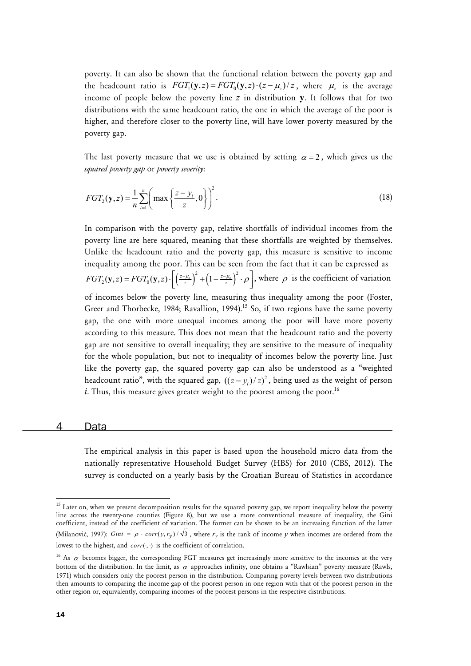poverty. It can also be shown that the functional relation between the poverty gap and the headcount ratio is  $FGT_1(y, z) = FGT_0(y, z) \cdot (z - \mu_z)/z$ , where  $\mu_z$  is the average income of people below the poverty line *z* in distribution **y**. It follows that for two distributions with the same headcount ratio, the one in which the average of the poor is higher, and therefore closer to the poverty line, will have lower poverty measured by the poverty gap.

The last poverty measure that we use is obtained by setting  $\alpha = 2$ , which gives us the *squared poverty gap* or *poverty severity*:

$$
FGT_2(\mathbf{y}, z) = \frac{1}{n} \sum_{i=1}^n \left( \max \left\{ \frac{z - y_i}{z}, 0 \right\} \right)^2.
$$
 (18)

In comparison with the poverty gap, relative shortfalls of individual incomes from the poverty line are here squared, meaning that these shortfalls are weighted by themselves. Unlike the headcount ratio and the poverty gap, this measure is sensitive to income inequality among the poor. This can be seen from the fact that it can be expressed as  $FGT_2(y, z) = FGT_0(y, z) \cdot \left[ \left( \frac{z - \mu_z}{z} \right)^2 + \left( 1 - \frac{z - \mu_z}{z} \right)^2 \cdot \rho \right]$ , where  $\rho$  is the coefficient of variation

of incomes below the poverty line, measuring thus inequality among the poor (Foster, Greer and Thorbecke, 1984; Ravallion, 1994).<sup>15</sup> So, if two regions have the same poverty gap, the one with more unequal incomes among the poor will have more poverty according to this measure. This does not mean that the headcount ratio and the poverty gap are not sensitive to overall inequality; they are sensitive to the measure of inequality for the whole population, but not to inequality of incomes below the poverty line. Just like the poverty gap, the squared poverty gap can also be understood as a "weighted headcount ratio", with the squared gap,  $((z - y_i) / z)^2$ , being used as the weight of person *i*. Thus, this measure gives greater weight to the poorest among the poor.<sup>16</sup>

#### 4 Data

The empirical analysis in this paper is based upon the household micro data from the nationally representative Household Budget Survey (HBS) for 2010 (CBS, 2012). The survey is conducted on a yearly basis by the Croatian Bureau of Statistics in accordance

1

<sup>&</sup>lt;sup>15</sup> Later on, when we present decomposition results for the squared poverty gap, we report inequality below the poverty line across the twenty-one counties (Figure 8), but we use a more conventional measure of inequality, the Gini coefficient, instead of the coefficient of variation. The former can be shown to be an increasing function of the latter (Milanović, 1997): *Gini* =  $\rho \cdot corr(y, r_v) / \sqrt{3}$ , where  $r_v$  is the rank of income *y* when incomes are ordered from the lowest to the highest, and *corr*( $\cdot$ , $\cdot$ ) is the coefficient of correlation.

<sup>&</sup>lt;sup>16</sup> As  $\alpha$  becomes bigger, the corresponding FGT measures get increasingly more sensitive to the incomes at the very bottom of the distribution. In the limit, as  $\alpha$  approaches infinity, one obtains a "Rawlsian" poverty measure (Rawls, 1971) which considers only the poorest person in the distribution. Comparing poverty levels between two distributions then amounts to comparing the income gap of the poorest person in one region with that of the poorest person in the other region or, equivalently, comparing incomes of the poorest persons in the respective distributions.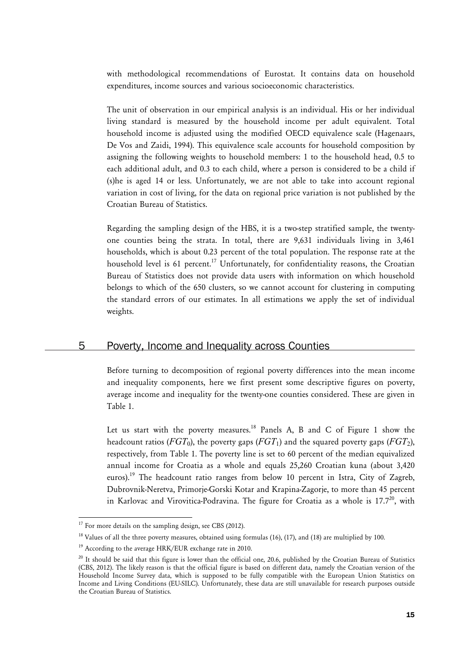with methodological recommendations of Eurostat. It contains data on household expenditures, income sources and various socioeconomic characteristics.

The unit of observation in our empirical analysis is an individual. His or her individual living standard is measured by the household income per adult equivalent. Total household income is adjusted using the modified OECD equivalence scale (Hagenaars, De Vos and Zaidi, 1994). This equivalence scale accounts for household composition by assigning the following weights to household members: 1 to the household head, 0.5 to each additional adult, and 0.3 to each child, where a person is considered to be a child if (s)he is aged 14 or less. Unfortunately, we are not able to take into account regional variation in cost of living, for the data on regional price variation is not published by the Croatian Bureau of Statistics.

Regarding the sampling design of the HBS, it is a two-step stratified sample, the twentyone counties being the strata. In total, there are 9,631 individuals living in 3,461 households, which is about 0.23 percent of the total population. The response rate at the household level is 61 percent.<sup>17</sup> Unfortunately, for confidentiality reasons, the Croatian Bureau of Statistics does not provide data users with information on which household belongs to which of the 650 clusters, so we cannot account for clustering in computing the standard errors of our estimates. In all estimations we apply the set of individual weights.

# 5 Poverty, Income and Inequality across Counties

Before turning to decomposition of regional poverty differences into the mean income and inequality components, here we first present some descriptive figures on poverty, average income and inequality for the twenty-one counties considered. These are given in Table 1.

Let us start with the poverty measures.<sup>18</sup> Panels A, B and C of Figure 1 show the headcount ratios ( $FGT_0$ ), the poverty gaps ( $FGT_1$ ) and the squared poverty gaps ( $FGT_2$ ), respectively, from Table 1. The poverty line is set to 60 percent of the median equivalized annual income for Croatia as a whole and equals 25,260 Croatian kuna (about 3,420 euros).<sup>19</sup> The headcount ratio ranges from below 10 percent in Istra, City of Zagreb, Dubrovnik-Neretva, Primorje-Gorski Kotar and Krapina-Zagorje, to more than 45 percent in Karlovac and Virovitica-Podravina. The figure for Croatia as a whole is  $17.7<sup>20</sup>$ , with

 $\overline{a}$ 

 $17$  For more details on the sampling design, see CBS (2012).

<sup>&</sup>lt;sup>18</sup> Values of all the three poverty measures, obtained using formulas (16), (17), and (18) are multiplied by 100.

<sup>&</sup>lt;sup>19</sup> According to the average HRK/EUR exchange rate in 2010.

<sup>&</sup>lt;sup>20</sup> It should be said that this figure is lower than the official one, 20.6, published by the Croatian Bureau of Statistics (CBS, 2012). The likely reason is that the official figure is based on different data, namely the Croatian version of the Household Income Survey data, which is supposed to be fully compatible with the European Union Statistics on Income and Living Conditions (EU-SILC). Unfortunately, these data are still unavailable for research purposes outside the Croatian Bureau of Statistics.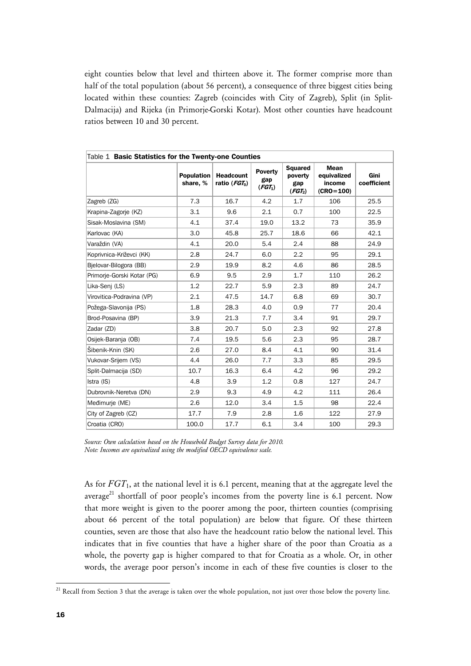eight counties below that level and thirteen above it. The former comprise more than half of the total population (about 56 percent), a consequence of three biggest cities being located within these counties: Zagreb (coincides with City of Zagreb), Split (in Split-Dalmacija) and Rijeka (in Primorje-Gorski Kotar). Most other counties have headcount ratios between 10 and 30 percent.

| Table 1 Basic Statistics for the Twenty-one Counties |                               |                                       |                             |                                                         |                                                |                     |
|------------------------------------------------------|-------------------------------|---------------------------------------|-----------------------------|---------------------------------------------------------|------------------------------------------------|---------------------|
|                                                      | <b>Population</b><br>share, % | <b>Headcount</b><br>ratio ( $FGT_0$ ) | Poverty<br>gap<br>$(FGT_1)$ | <b>Squared</b><br>poverty<br>gap<br>(FGT <sub>2</sub> ) | Mean<br>equivalized<br>income<br>$(CRO = 100)$ | Gini<br>coefficient |
| Zagreb (ZG)                                          | 7.3                           | 16.7                                  | 4.2                         | 1.7                                                     | 106                                            | 25.5                |
| Krapina-Zagorje (KZ)                                 | 3.1                           | 9.6                                   | 2.1                         | 0.7                                                     | 100                                            | 22.5                |
| Sisak-Moslavina (SM)                                 | 4.1                           | 37.4                                  | 19.0                        | 13.2                                                    | 73                                             | 35.9                |
| Karlovac (KA)                                        | 3.0                           | 45.8                                  | 25.7                        | 18.6                                                    | 66                                             | 42.1                |
| Varaždin (VA)                                        | 4.1                           | 20.0                                  | 5.4                         | 2.4                                                     | 88                                             | 24.9                |
| Koprivnica-Križevci (KK)                             | 2.8                           | 24.7                                  | 6.0                         | 2.2                                                     | 95                                             | 29.1                |
| Bielovar-Bilogora (BB)                               | 2.9                           | 19.9                                  | 8.2                         | 4.6                                                     | 86                                             | 28.5                |
| Primorje-Gorski Kotar (PG)                           | 6.9                           | 9.5                                   | 2.9                         | 1.7                                                     | 110                                            | 26.2                |
| Lika-Senj (LS)                                       | 1.2                           | 22.7                                  | 5.9                         | 2.3                                                     | 89                                             | 24.7                |
| Virovitica-Podravina (VP)                            | 2.1                           | 47.5                                  | 14.7                        | 6.8                                                     | 69                                             | 30.7                |
| Požega-Slavonija (PS)                                | 1.8                           | 28.3                                  | 4.0                         | 0.9                                                     | 77                                             | 20.4                |
| Brod-Posavina (BP)                                   | 3.9                           | 21.3                                  | 7.7                         | 3.4                                                     | 91                                             | 29.7                |
| Zadar (ZD)                                           | 3.8                           | 20.7                                  | 5.0                         | 2.3                                                     | 92                                             | 27.8                |
| Osijek-Baranja (OB)                                  | 7.4                           | 19.5                                  | 5.6                         | 2.3                                                     | 95                                             | 28.7                |
| Šibenik-Knin (SK)                                    | 2.6                           | 27.0                                  | 8.4                         | 4.1                                                     | 90                                             | 31.4                |
| Vukovar-Srijem (VS)                                  | 4.4                           | 26.0                                  | 7.7                         | 3.3                                                     | 85                                             | 29.5                |
| Split-Dalmacija (SD)                                 | 10.7                          | 16.3                                  | 6.4                         | 4.2                                                     | 96                                             | 29.2                |
| Istra (IS)                                           | 4.8                           | 3.9                                   | 1.2                         | 0.8                                                     | 127                                            | 24.7                |
| Dubrovnik-Neretva (DN)                               | 2.9                           | 9.3                                   | 4.9                         | 4.2                                                     | 111                                            | 26.4                |
| Međimurje (ME)                                       | 2.6                           | 12.0                                  | 3.4                         | 1.5                                                     | 98                                             | 22.4                |
| City of Zagreb (CZ)                                  | 17.7                          | 7.9                                   | 2.8                         | 1.6                                                     | 122                                            | 27.9                |
| Croatia (CRO)                                        | 100.0                         | 17.7                                  | 6.1                         | 3.4                                                     | 100                                            | 29.3                |

*Source: Own calculation based on the Household Budget Survey data for 2010. Note: Incomes are equivalized using the modified OECD equivalence scale.* 

As for *FGT*<sub>1</sub>, at the national level it is 6.1 percent, meaning that at the aggregate level the average<sup>21</sup> shortfall of poor people's incomes from the poverty line is 6.1 percent. Now that more weight is given to the poorer among the poor, thirteen counties (comprising about 66 percent of the total population) are below that figure. Of these thirteen counties, seven are those that also have the headcount ratio below the national level. This indicates that in five counties that have a higher share of the poor than Croatia as a whole, the poverty gap is higher compared to that for Croatia as a whole. Or, in other words, the average poor person's income in each of these five counties is closer to the

<sup>1</sup>  $^{21}$  Recall from Section 3 that the average is taken over the whole population, not just over those below the poverty line.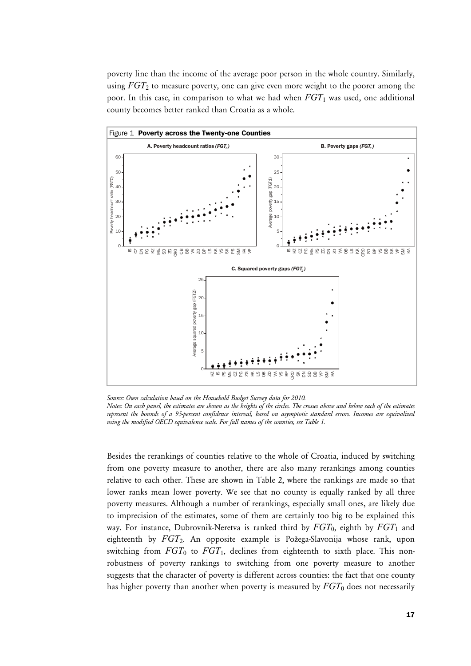poverty line than the income of the average poor person in the whole country. Similarly, using *FGT*2 to measure poverty, one can give even more weight to the poorer among the poor. In this case, in comparison to what we had when *FGT*1 was used, one additional county becomes better ranked than Croatia as a whole.



*Source: Own calculation based on the Household Budget Survey data for 2010.* 

Besides the rerankings of counties relative to the whole of Croatia, induced by switching from one poverty measure to another, there are also many rerankings among counties relative to each other. These are shown in Table 2, where the rankings are made so that lower ranks mean lower poverty. We see that no county is equally ranked by all three poverty measures. Although a number of rerankings, especially small ones, are likely due to imprecision of the estimates, some of them are certainly too big to be explained this way. For instance, Dubrovnik-Neretva is ranked third by  $FGT_0$ , eighth by  $FGT_1$  and eighteenth by *FGT*2. An opposite example is Požega-Slavonija whose rank, upon switching from  $FGT_0$  to  $FGT_1$ , declines from eighteenth to sixth place. This nonrobustness of poverty rankings to switching from one poverty measure to another suggests that the character of poverty is different across counties: the fact that one county has higher poverty than another when poverty is measured by  $FGT_0$  does not necessarily

*Notes: On each panel, the estimates are shown as the heights of the circles. The crosses above and below each of the estimates represent the bounds of a 95-percent confidence interval, based on asymptotic standard errors. Incomes are equivalized using the modified OECD equivalence scale. For full names of the counties, see Table 1.*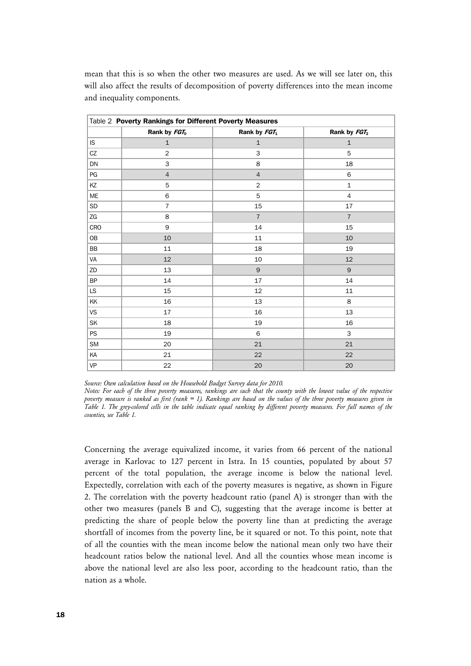| Table 2 Poverty Rankings for Different Poverty Measures |                          |                |                          |
|---------------------------------------------------------|--------------------------|----------------|--------------------------|
|                                                         | Rank by FGT <sub>0</sub> | Rank by FGT1   | Rank by FGT <sub>2</sub> |
| IS.                                                     | $\mathbf{1}$             | $\mathbf{1}$   | $\mathbf{1}$             |
| CZ                                                      | $\overline{2}$           | 3              | 5                        |
| DN                                                      | 3                        | 8              | 18                       |
| PG                                                      | $\overline{4}$           | $\overline{4}$ | 6                        |
| KZ                                                      | 5                        | $\overline{2}$ | $\mathbf{1}$             |
| ME                                                      | $\,$ 6 $\,$              | 5              | $\overline{4}$           |
| SD                                                      | $\overline{7}$           | 15             | 17                       |
| ZG                                                      | 8                        | $\overline{7}$ | $\overline{7}$           |
| CRO                                                     | 9                        | 14             | 15                       |
| 0B                                                      | 10                       | 11             | 10                       |
| BB                                                      | 11                       | 18             | 19                       |
| VA                                                      | 12                       | 10             | 12                       |
| ZD                                                      | 13                       | 9              | 9                        |
| BP                                                      | 14                       | 17             | 14                       |
| $\mathsf{LS}\xspace$                                    | 15                       | 12             | 11                       |
| KK                                                      | 16                       | 13             | 8                        |
| VS                                                      | 17                       | 16             | 13                       |
| SK                                                      | 18                       | 19             | 16                       |
| <b>PS</b>                                               | 19                       | 6              | 3                        |
| SM                                                      | 20                       | 21             | 21                       |
| KA                                                      | 21                       | 22             | 22                       |
| VP                                                      | 22                       | $20\,$         | 20                       |

mean that this is so when the other two measures are used. As we will see later on, this will also affect the results of decomposition of poverty differences into the mean income and inequality components.

*Source: Own calculation based on the Household Budget Survey data for 2010.* 

*Notes: For each of the three poverty measures, rankings are such that the county with the lowest value of the respective poverty measure is ranked as first (rank = 1). Rankings are based on the values of the three poverty measures given in Table 1. The grey-colored cells in the table indicate equal ranking by different poverty measures. For full names of the counties, see Table 1.* 

Concerning the average equivalized income, it varies from 66 percent of the national average in Karlovac to 127 percent in Istra. In 15 counties, populated by about 57 percent of the total population, the average income is below the national level. Expectedly, correlation with each of the poverty measures is negative, as shown in Figure 2. The correlation with the poverty headcount ratio (panel A) is stronger than with the other two measures (panels B and C), suggesting that the average income is better at predicting the share of people below the poverty line than at predicting the average shortfall of incomes from the poverty line, be it squared or not. To this point, note that of all the counties with the mean income below the national mean only two have their headcount ratios below the national level. And all the counties whose mean income is above the national level are also less poor, according to the headcount ratio, than the nation as a whole.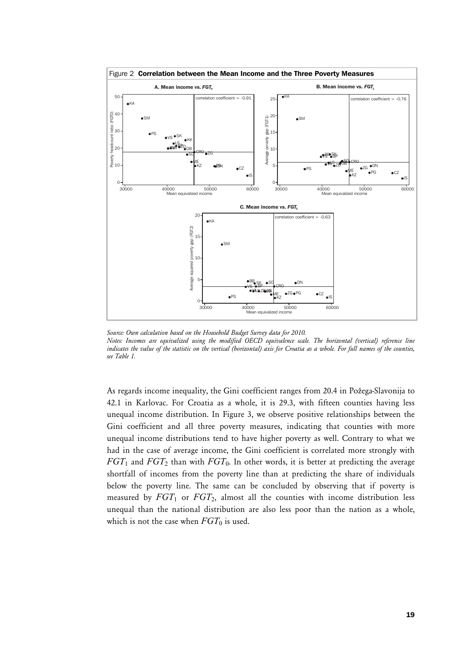

Source: Own calculation based on the Household Budget Survey data for 2010. *Notes: Incomes are equivalized using the modified OECD equivalence scale. The horizontal (vertical) reference line indicates the value of the statistic on the vertical (horizontal) axis for Croatia as a whole. For full names of the counties, see Table 1.* 

As regards income inequality, the Gini coefficient ranges from 20.4 in Požega-Slavonija to 42.1 in Karlovac. For Croatia as a whole, it is 29.3, with fifteen counties having less unequal income distribution. In Figure 3, we observe positive relationships between the Gini coefficient and all three poverty measures, indicating that counties with more unequal income distributions tend to have higher poverty as well. Contrary to what we had in the case of average income, the Gini coefficient is correlated more strongly with *FGT*1 and *FGT*2 than with *FGT*0. In other words, it is better at predicting the average shortfall of incomes from the poverty line than at predicting the share of individuals below the poverty line. The same can be concluded by observing that if poverty is measured by  $FGT_1$  or  $FGT_2$ , almost all the counties with income distribution less unequal than the national distribution are also less poor than the nation as a whole, which is not the case when  $FGT_0$  is used.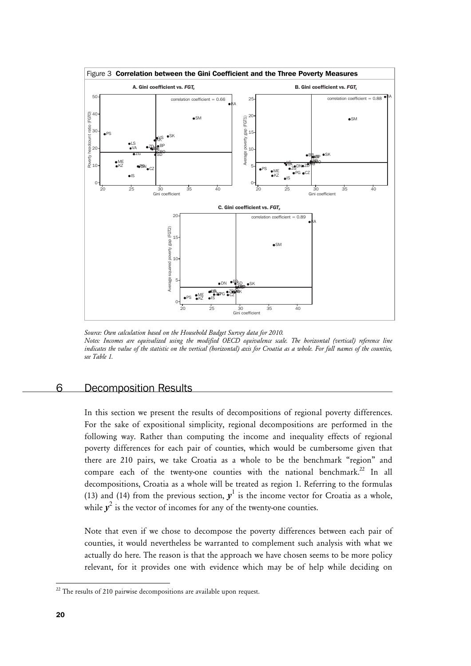

*Source: Own calculation based on the Household Budget Survey data for 2010. Notes: Incomes are equivalized using the modified OECD equivalence scale. The horizontal (vertical) reference line indicates the value of the statistic on the vertical (horizontal) axis for Croatia as a whole. For full names of the counties, see Table 1.* 

# 6 Decomposition Results

In this section we present the results of decompositions of regional poverty differences. For the sake of expositional simplicity, regional decompositions are performed in the following way. Rather than computing the income and inequality effects of regional poverty differences for each pair of counties, which would be cumbersome given that there are 210 pairs, we take Croatia as a whole to be the benchmark "region" and compare each of the twenty-one counties with the national benchmark.<sup>22</sup> In all decompositions, Croatia as a whole will be treated as region 1. Referring to the formulas (13) and (14) from the previous section,  $y<sup>1</sup>$  is the income vector for Croatia as a whole, while  $y^2$  is the vector of incomes for any of the twenty-one counties.

Note that even if we chose to decompose the poverty differences between each pair of counties, it would nevertheless be warranted to complement such analysis with what we actually do here. The reason is that the approach we have chosen seems to be more policy relevant, for it provides one with evidence which may be of help while deciding on

1

 $22$  The results of 210 pairwise decompositions are available upon request.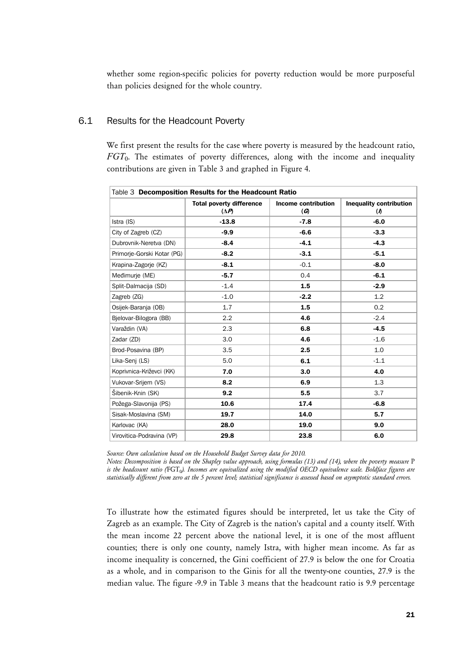whether some region-specific policies for poverty reduction would be more purposeful than policies designed for the whole country.

# 6.1 Results for the Headcount Poverty

We first present the results for the case where poverty is measured by the headcount ratio, *FGT*0. The estimates of poverty differences, along with the income and inequality contributions are given in Table 3 and graphed in Figure 4.

| Table 3 Decomposition Results for the Headcount Ratio |                                                 |                                            |                                                       |
|-------------------------------------------------------|-------------------------------------------------|--------------------------------------------|-------------------------------------------------------|
|                                                       | <b>Total poverty difference</b><br>$(\Delta P)$ | <b>Income contribution</b><br>$\mathcal G$ | <b>Inequality contribution</b><br>$\boldsymbol{\eta}$ |
| Istra (IS)                                            | $-13.8$                                         | $-7.8$                                     | $-6.0$                                                |
| City of Zagreb (CZ)                                   | $-9.9$                                          | $-6.6$                                     | $-3.3$                                                |
| Dubrovnik-Neretva (DN)                                | $-8.4$                                          | $-4.1$                                     | $-4.3$                                                |
| Primorie-Gorski Kotar (PG)                            | $-8.2$                                          | $-3.1$                                     | $-5.1$                                                |
| Krapina-Zagorje (KZ)                                  | $-8.1$                                          | $-0.1$                                     | $-8.0$                                                |
| Međimurje (ME)                                        | $-5.7$                                          | 0.4                                        | $-6.1$                                                |
| Split-Dalmacija (SD)                                  | $-1.4$                                          | 1.5                                        | $-2.9$                                                |
| Zagreb (ZG)                                           | $-1.0$                                          | $-2.2$                                     | 1.2                                                   |
| Osijek-Baranja (OB)                                   | 1.7                                             | 1.5                                        | 0.2                                                   |
| Bielovar-Bilogora (BB)                                | 2.2                                             | 4.6                                        | $-2.4$                                                |
| Varaždin (VA)                                         | 2.3                                             | 6.8                                        | $-4.5$                                                |
| Zadar (ZD)                                            | 3.0                                             | 4.6                                        | $-1.6$                                                |
| Brod-Posavina (BP)                                    | 3.5                                             | 2.5                                        | 1.0                                                   |
| Lika-Senj (LS)                                        | 5.0                                             | 6.1                                        | $-1.1$                                                |
| Koprivnica-Križevci (KK)                              | 7.0                                             | 3.0                                        | 4.0                                                   |
| Vukovar-Srijem (VS)                                   | 8.2                                             | 6.9                                        | 1.3                                                   |
| Šibenik-Knin (SK)                                     | 9.2                                             | 5.5                                        | 3.7                                                   |
| Požega-Slavonija (PS)                                 | 10.6                                            | 17.4                                       | $-6.8$                                                |
| Sisak-Moslavina (SM)                                  | 19.7                                            | 14.0                                       | 5.7                                                   |
| Karlovac (KA)                                         | 28.0                                            | 19.0                                       | 9.0                                                   |
| Virovitica-Podravina (VP)                             | 29.8                                            | 23.8                                       | 6.0                                                   |

*Source: Own calculation based on the Household Budget Survey data for 2010.* 

*Notes: Decomposition is based on the Shapley value approach, using formulas (13) and (14), where the poverty measure* P is the headcount ratio (FGT<sub>0</sub>). Incomes are equivalized using the modified OECD equivalence scale. Boldface figures are *statistically different from zero at the 5 percent level; statistical significance is assessed based on asymptotic standard errors.* 

To illustrate how the estimated figures should be interpreted, let us take the City of Zagreb as an example. The City of Zagreb is the nation's capital and a county itself. With the mean income 22 percent above the national level, it is one of the most affluent counties; there is only one county, namely Istra, with higher mean income. As far as income inequality is concerned, the Gini coefficient of 27.9 is below the one for Croatia as a whole, and in comparison to the Ginis for all the twenty-one counties, 27.9 is the median value. The figure -9.9 in Table 3 means that the headcount ratio is 9.9 percentage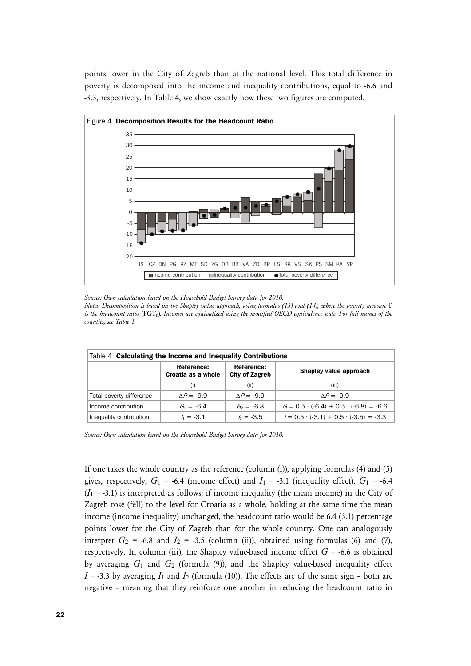points lower in the City of Zagreb than at the national level. This total difference in poverty is decomposed into the income and inequality contributions, equal to -6.6 and -3.3, respectively. In Table 4, we show exactly how these two figures are computed.



*Source: Own calculation based on the Household Budget Survey data for 2010.* 

*Notes: Decomposition is based on the Shapley value approach, using formulas (13) and (14), where the poverty measure* P *is the headcount ratio* (FGT0)*. Incomes are equivalized using the modified OECD equivalence scale. For full names of the counties, see Table 1.* 

| Table 4 Calculating the Income and Inequality Contributions |                                  |                                     |                                                  |
|-------------------------------------------------------------|----------------------------------|-------------------------------------|--------------------------------------------------|
|                                                             | Reference:<br>Croatia as a whole | Reference:<br><b>City of Zagreb</b> | Shapley value approach                           |
|                                                             | (i)                              | (ii)                                | (iii)                                            |
| Total poverty difference                                    | $AP = -9.9$                      | $AP = -9.9$                         | $AP = -9.9$                                      |
| Income contribution                                         | $G_1 = -6.4$                     | $G_2 = -6.8$                        | $G = 0.5 \cdot (-6.4) + 0.5 \cdot (-6.8) = -6.6$ |
| Inequality contribution                                     | $h = -3.1$                       | $h = -3.5$                          | $I = 0.5 \cdot (-3.1) + 0.5 \cdot (-3.5) = -3.3$ |

*Source: Own calculation based on the Household Budget Survey data for 2010.* 

If one takes the whole country as the reference (column (i)), applying formulas (4) and (5) gives, respectively,  $G_1$  = -6.4 (income effect) and  $I_1$  = -3.1 (inequality effect).  $G_1$  = -6.4  $(I_1 = -3.1)$  is interpreted as follows: if income inequality (the mean income) in the City of Zagreb rose (fell) to the level for Croatia as a whole, holding at the same time the mean income (income inequality) unchanged, the headcount ratio would be 6.4 (3.1) percentage points lower for the City of Zagreb than for the whole country. One can analogously interpret  $G_2$  = -6.8 and  $I_2$  = -3.5 (column (ii)), obtained using formulas (6) and (7), respectively. In column (iii), the Shapley value-based income effect  $G = -6.6$  is obtained by averaging *G*1 and *G*2 (formula (9)), and the Shapley value-based inequality effect  $I = -3.3$  by averaging  $I_1$  and  $I_2$  (formula (10)). The effects are of the same sign – both are negative – meaning that they reinforce one another in reducing the headcount ratio in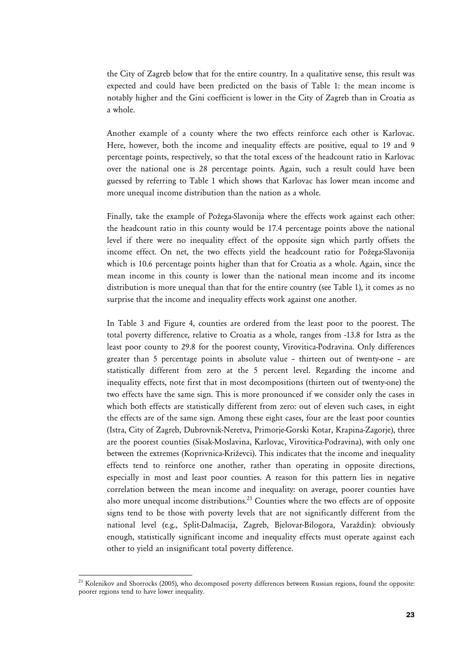the City of Zagreb below that for the entire country. In a qualitative sense, this result was expected and could have been predicted on the basis of Table 1: the mean income is notably higher and the Gini coefficient is lower in the City of Zagreb than in Croatia as a whole.

Another example of a county where the two effects reinforce each other is Karlovac. Here, however, both the income and inequality effects are positive, equal to 19 and 9 percentage points, respectively, so that the total excess of the headcount ratio in Karlovac over the national one is 28 percentage points. Again, such a result could have been guessed by referring to Table 1 which shows that Karlovac has lower mean income and more unequal income distribution than the nation as a whole.

Finally, take the example of Požega-Slavonija where the effects work against each other: the headcount ratio in this county would be 17.4 percentage points above the national level if there were no inequality effect of the opposite sign which partly offsets the income effect. On net, the two effects yield the headcount ratio for Požega-Slavonija which is 10.6 percentage points higher than that for Croatia as a whole. Again, since the mean income in this county is lower than the national mean income and its income distribution is more unequal than that for the entire country (see Table 1), it comes as no surprise that the income and inequality effects work against one another.

In Table 3 and Figure 4, counties are ordered from the least poor to the poorest. The total poverty difference, relative to Croatia as a whole, ranges from -13.8 for Istra as the least poor county to 29.8 for the poorest county, Virovitica-Podravina. Only differences greater than 5 percentage points in absolute value – thirteen out of twenty-one – are statistically different from zero at the 5 percent level. Regarding the income and inequality effects, note first that in most decompositions (thirteen out of twenty-one) the two effects have the same sign. This is more pronounced if we consider only the cases in which both effects are statistically different from zero: out of eleven such cases, in eight the effects are of the same sign. Among these eight cases, four are the least poor counties (Istra, City of Zagreb, Dubrovnik-Neretva, Primorje-Gorski Kotar, Krapina-Zagorje), three are the poorest counties (Sisak-Moslavina, Karlovac, Virovitica-Podravina), with only one between the extremes (Koprivnica-Križevci). This indicates that the income and inequality effects tend to reinforce one another, rather than operating in opposite directions, especially in most and least poor counties. A reason for this pattern lies in negative correlation between the mean income and inequality: on average, poorer counties have also more unequal income distributions.<sup>23</sup> Counties where the two effects are of opposite signs tend to be those with poverty levels that are not significantly different from the national level (e.g., Split-Dalmacija, Zagreb, Bjelovar-Bilogora, Varaždin): obviously enough, statistically significant income and inequality effects must operate against each other to yield an insignificant total poverty difference.

 $\overline{a}$ 

 $23$  Kolenikov and Shorrocks (2005), who decomposed poverty differences between Russian regions, found the opposite: poorer regions tend to have lower inequality.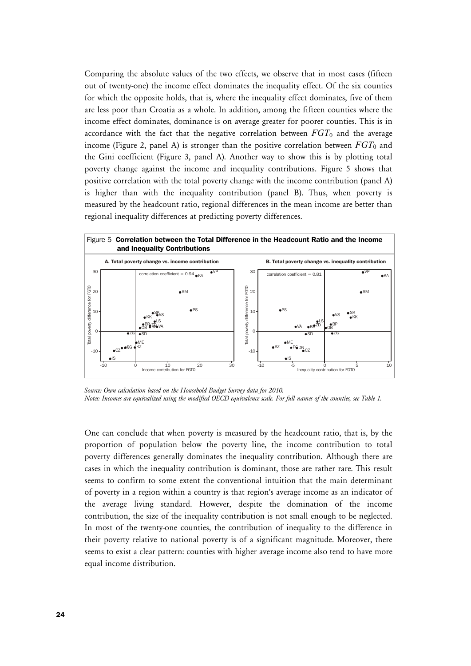Comparing the absolute values of the two effects, we observe that in most cases (fifteen out of twenty-one) the income effect dominates the inequality effect. Of the six counties for which the opposite holds, that is, where the inequality effect dominates, five of them are less poor than Croatia as a whole. In addition, among the fifteen counties where the income effect dominates, dominance is on average greater for poorer counties. This is in accordance with the fact that the negative correlation between  $FGT_0$  and the average income (Figure 2, panel A) is stronger than the positive correlation between  $FGT_0$  and the Gini coefficient (Figure 3, panel A). Another way to show this is by plotting total poverty change against the income and inequality contributions. Figure 5 shows that positive correlation with the total poverty change with the income contribution (panel A) is higher than with the inequality contribution (panel B). Thus, when poverty is measured by the headcount ratio, regional differences in the mean income are better than regional inequality differences at predicting poverty differences.



*Source: Own calculation based on the Household Budget Survey data for 2010. Notes: Incomes are equivalized using the modified OECD equivalence scale. For full names of the counties, see Table 1.* 

One can conclude that when poverty is measured by the headcount ratio, that is, by the proportion of population below the poverty line, the income contribution to total poverty differences generally dominates the inequality contribution. Although there are cases in which the inequality contribution is dominant, those are rather rare. This result seems to confirm to some extent the conventional intuition that the main determinant of poverty in a region within a country is that region's average income as an indicator of the average living standard. However, despite the domination of the income contribution, the size of the inequality contribution is not small enough to be neglected. In most of the twenty-one counties, the contribution of inequality to the difference in their poverty relative to national poverty is of a significant magnitude. Moreover, there seems to exist a clear pattern: counties with higher average income also tend to have more equal income distribution.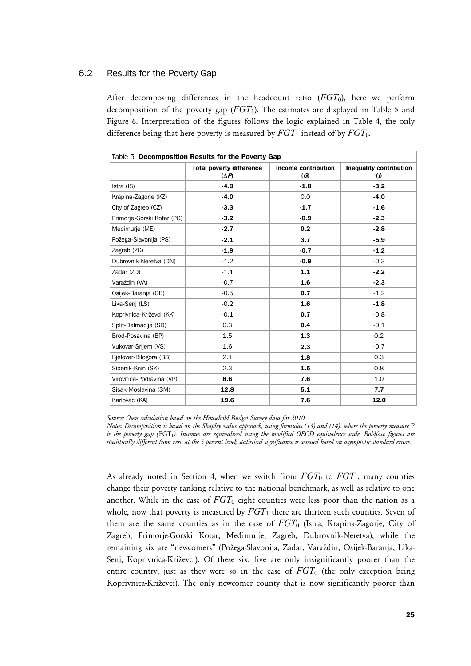# 6.2 Results for the Poverty Gap

After decomposing differences in the headcount ratio  $(FGT_0)$ , here we perform decomposition of the poverty gap (*FGT*1). The estimates are displayed in Table 5 and Figure 6. Interpretation of the figures follows the logic explained in Table 4, the only difference being that here poverty is measured by  $FGT_1$  instead of by  $FGT_0$ .

| Table 5 Decomposition Results for the Poverty Gap |                                                 |                                     |                                                         |
|---------------------------------------------------|-------------------------------------------------|-------------------------------------|---------------------------------------------------------|
|                                                   | <b>Total poverty difference</b><br>$(\Delta P)$ | Income contribution<br>$\mathcal G$ | <b>Inequality contribution</b><br>$\boldsymbol{\theta}$ |
| Istra (IS)                                        | $-4.9$                                          | $-1.8$                              | $-3.2$                                                  |
| Krapina-Zagorje (KZ)                              | $-4.0$                                          | 0.0                                 | $-4.0$                                                  |
| City of Zagreb (CZ)                               | $-3.3$                                          | $-1.7$                              | $-1.6$                                                  |
| Primorie-Gorski Kotar (PG)                        | $-3.2$                                          | $-0.9$                              | $-2.3$                                                  |
| Međimurje (ME)                                    | $-2.7$                                          | 0.2                                 | $-2.8$                                                  |
| Požega-Slavonija (PS)                             | $-2.1$                                          | 3.7                                 | $-5.9$                                                  |
| Zagreb (ZG)                                       | $-1.9$                                          | $-0.7$                              | $-1.2$                                                  |
| Dubrovnik-Neretva (DN)                            | $-1.2$                                          | $-0.9$                              | $-0.3$                                                  |
| Zadar (ZD)                                        | $-1.1$                                          | 1.1                                 | $-2.2$                                                  |
| Varaždin (VA)                                     | $-0.7$                                          | 1.6                                 | $-2.3$                                                  |
| Osijek-Baranja (OB)                               | $-0.5$                                          | 0.7                                 | $-1.2$                                                  |
| Lika-Senj (LS)                                    | $-0.2$                                          | 1.6                                 | $-1.8$                                                  |
| Koprivnica-Križevci (KK)                          | $-0.1$                                          | 0.7                                 | $-0.8$                                                  |
| Split-Dalmacija (SD)                              | 0.3                                             | 0.4                                 | $-0.1$                                                  |
| Brod-Posavina (BP)                                | 1.5                                             | 1.3                                 | 0.2                                                     |
| Vukovar-Srijem (VS)                               | 1.6                                             | 2.3                                 | $-0.7$                                                  |
| Bielovar-Bilogora (BB)                            | 2.1                                             | 1.8                                 | 0.3                                                     |
| Šibenik-Knin (SK)                                 | 2.3                                             | 1.5                                 | 0.8                                                     |
| Virovitica-Podravina (VP)                         | 8.6                                             | 7.6                                 | 1.0                                                     |
| Sisak-Moslavina (SM)                              | 12.8                                            | 5.1                                 | 7.7                                                     |
| Karlovac (KA)                                     | 19.6                                            | 7.6                                 | 12.0                                                    |

*Source: Own calculation based on the Household Budget Survey data for 2010.* 

*Notes: Decomposition is based on the Shapley value approach, using formulas (13) and (14), where the poverty measure* P is the poverty gap (FGT<sub>1</sub>). Incomes are equivalized using the modified OECD equivalence scale. Boldface figures are *statistically different from zero at the 5 percent level; statistical significance is assessed based on asymptotic standard errors.* 

As already noted in Section 4, when we switch from  $FGT_0$  to  $FGT_1$ , many counties change their poverty ranking relative to the national benchmark, as well as relative to one another. While in the case of  $FGT_0$  eight counties were less poor than the nation as a whole, now that poverty is measured by  $FGT_1$  there are thirteen such counties. Seven of them are the same counties as in the case of *FGT*0 (Istra, Krapina-Zagorje, City of Zagreb, Primorje-Gorski Kotar, Međimurje, Zagreb, Dubrovnik-Neretva), while the remaining six are "newcomers" (Požega-Slavonija, Zadar, Varaždin, Osijek-Baranja, Lika-Senj, Koprivnica-Križevci). Of these six, five are only insignificantly poorer than the entire country, just as they were so in the case of  $FGT_0$  (the only exception being Koprivnica-Križevci). The only newcomer county that is now significantly poorer than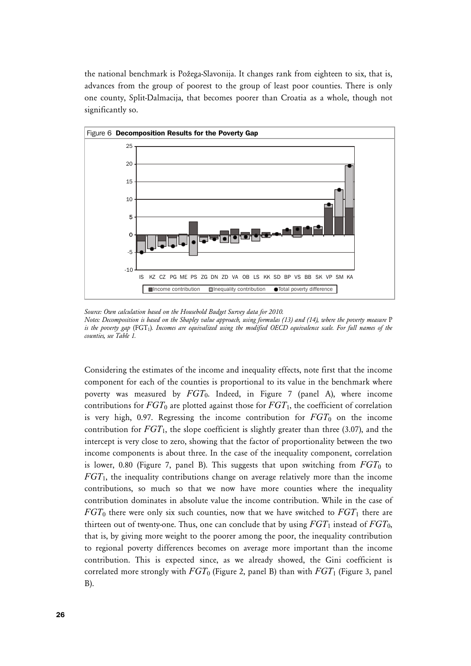the national benchmark is Požega-Slavonija. It changes rank from eighteen to six, that is, advances from the group of poorest to the group of least poor counties. There is only one county, Split-Dalmacija, that becomes poorer than Croatia as a whole, though not significantly so.



*Source: Own calculation based on the Household Budget Survey data for 2010. Notes: Decomposition is based on the Shapley value approach, using formulas (13) and (14), where the poverty measure* P is the poverty gap (FGT<sub>1</sub>). Incomes are equivalized using the modified OECD equivalence scale. For full names of the *counties, see Table 1.* 

Considering the estimates of the income and inequality effects, note first that the income component for each of the counties is proportional to its value in the benchmark where poverty was measured by *FGT*0. Indeed, in Figure 7 (panel A), where income contributions for *FGT*0 are plotted against those for *FGT*1, the coefficient of correlation is very high, 0.97. Regressing the income contribution for  $FGT_0$  on the income contribution for  $FGT_1$ , the slope coefficient is slightly greater than three (3.07), and the intercept is very close to zero, showing that the factor of proportionality between the two income components is about three. In the case of the inequality component, correlation is lower, 0.80 (Figure 7, panel B). This suggests that upon switching from  $FGT_0$  to *FGT*1, the inequality contributions change on average relatively more than the income contributions, so much so that we now have more counties where the inequality contribution dominates in absolute value the income contribution. While in the case of *FGT*0 there were only six such counties, now that we have switched to *FGT*1 there are thirteen out of twenty-one. Thus, one can conclude that by using  $FGT_1$  instead of  $FGT_0$ , that is, by giving more weight to the poorer among the poor, the inequality contribution to regional poverty differences becomes on average more important than the income contribution. This is expected since, as we already showed, the Gini coefficient is correlated more strongly with  $FGT_0$  (Figure 2, panel B) than with  $FGT_1$  (Figure 3, panel B).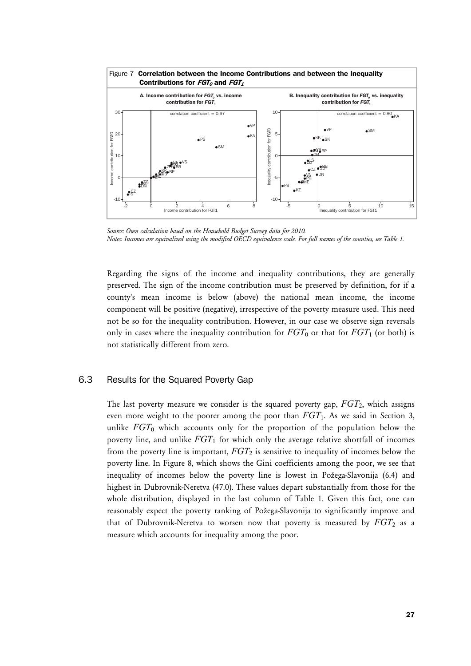

*Source: Own calculation based on the Household Budget Survey data for 2010. Notes: Incomes are equivalized using the modified OECD equivalence scale. For full names of the counties, see Table 1.* 

Regarding the signs of the income and inequality contributions, they are generally preserved. The sign of the income contribution must be preserved by definition, for if a county's mean income is below (above) the national mean income, the income component will be positive (negative), irrespective of the poverty measure used. This need not be so for the inequality contribution. However, in our case we observe sign reversals only in cases where the inequality contribution for  $FGT_0$  or that for  $FGT_1$  (or both) is not statistically different from zero.

# 6.3 Results for the Squared Poverty Gap

The last poverty measure we consider is the squared poverty gap, *FGT*2, which assigns even more weight to the poorer among the poor than *FGT*1. As we said in Section 3, unlike *FGT*<sub>0</sub> which accounts only for the proportion of the population below the poverty line, and unlike *FGT*1 for which only the average relative shortfall of incomes from the poverty line is important,  $FGT_2$  is sensitive to inequality of incomes below the poverty line. In Figure 8, which shows the Gini coefficients among the poor, we see that inequality of incomes below the poverty line is lowest in Požega-Slavonija (6.4) and highest in Dubrovnik-Neretva (47.0). These values depart substantially from those for the whole distribution, displayed in the last column of Table 1. Given this fact, one can reasonably expect the poverty ranking of Požega-Slavonija to significantly improve and that of Dubrovnik-Neretva to worsen now that poverty is measured by  $FGT_2$  as a measure which accounts for inequality among the poor.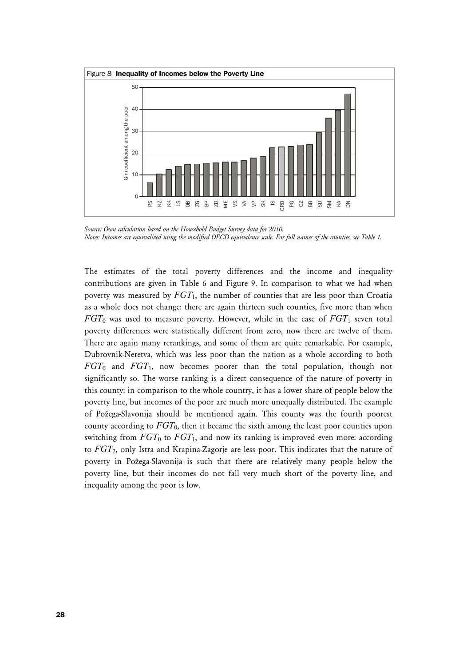

*Source: Own calculation based on the Household Budget Survey data for 2010. Notes: Incomes are equivalized using the modified OECD equivalence scale. For full names of the counties, see Table 1.* 

The estimates of the total poverty differences and the income and inequality contributions are given in Table 6 and Figure 9. In comparison to what we had when poverty was measured by  $FGT_1$ , the number of counties that are less poor than Croatia as a whole does not change: there are again thirteen such counties, five more than when  $FGT_0$  was used to measure poverty. However, while in the case of  $FGT_1$  seven total poverty differences were statistically different from zero, now there are twelve of them. There are again many rerankings, and some of them are quite remarkable. For example, Dubrovnik-Neretva, which was less poor than the nation as a whole according to both *FGT*0 and *FGT*1, now becomes poorer than the total population, though not significantly so. The worse ranking is a direct consequence of the nature of poverty in this county: in comparison to the whole country, it has a lower share of people below the poverty line, but incomes of the poor are much more unequally distributed. The example of Požega-Slavonija should be mentioned again. This county was the fourth poorest county according to *FGT*0, then it became the sixth among the least poor counties upon switching from  $FGT_0$  to  $FGT_1$ , and now its ranking is improved even more: according to *FGT*2, only Istra and Krapina-Zagorje are less poor. This indicates that the nature of poverty in Požega-Slavonija is such that there are relatively many people below the poverty line, but their incomes do not fall very much short of the poverty line, and inequality among the poor is low.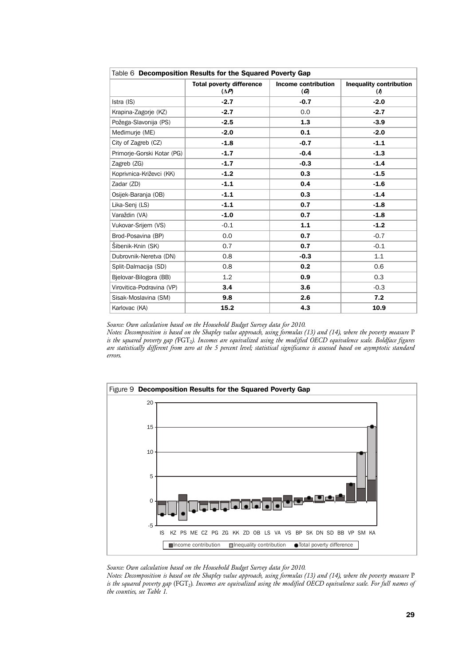| Table 6 Decomposition Results for the Squared Poverty Gap |                                                 |                                            |                                                         |
|-----------------------------------------------------------|-------------------------------------------------|--------------------------------------------|---------------------------------------------------------|
|                                                           | <b>Total poverty difference</b><br>$(\Delta P)$ | <b>Income contribution</b><br>$\mathcal G$ | <b>Inequality contribution</b><br>$\boldsymbol{\theta}$ |
| Istra (IS)                                                | $-2.7$                                          | $-0.7$                                     | $-2.0$                                                  |
| Krapina-Zagorje (KZ)                                      | $-2.7$                                          | 0.0                                        | $-2.7$                                                  |
| Požega-Slavonija (PS)                                     | $-2.5$                                          | 1.3                                        | $-3.9$                                                  |
| Međimurje (ME)                                            | $-2.0$                                          | 0.1                                        | $-2.0$                                                  |
| City of Zagreb (CZ)                                       | $-1.8$                                          | $-0.7$                                     | $-1.1$                                                  |
| Primorie-Gorski Kotar (PG)                                | $-1.7$                                          | $-0.4$                                     | $-1.3$                                                  |
| Zagreb (ZG)                                               | $-1.7$                                          | $-0.3$                                     | $-1.4$                                                  |
| Koprivnica-Križevci (KK)                                  | $-1.2$                                          | 0.3                                        | $-1.5$                                                  |
| Zadar (ZD)                                                | $-1.1$                                          | 0.4                                        | $-1.6$                                                  |
| Osijek-Baranja (OB)                                       | $-1.1$                                          | 0.3                                        | $-1.4$                                                  |
| Lika-Senj (LS)                                            | $-1.1$                                          | 0.7                                        | $-1.8$                                                  |
| Varaždin (VA)                                             | $-1.0$                                          | 0.7                                        | $-1.8$                                                  |
| Vukovar-Srijem (VS)                                       | $-0.1$                                          | $1.1$                                      | $-1.2$                                                  |
| Brod-Posavina (BP)                                        | 0.0                                             | 0.7                                        | $-0.7$                                                  |
| Šibenik-Knin (SK)                                         | 0.7                                             | 0.7                                        | $-0.1$                                                  |
| Dubrovnik-Neretva (DN)                                    | 0.8                                             | $-0.3$                                     | 1.1                                                     |
| Split-Dalmacija (SD)                                      | 0.8                                             | 0.2                                        | 0.6                                                     |
| Bielovar-Bilogora (BB)                                    | 1.2                                             | 0.9                                        | 0.3                                                     |
| Virovitica-Podravina (VP)                                 | 3.4                                             | 3.6                                        | $-0.3$                                                  |
| Sisak-Moslavina (SM)                                      | 9.8                                             | 2.6                                        | 7.2                                                     |
| Karlovac (KA)                                             | 15.2                                            | 4.3                                        | 10.9                                                    |

*Source: Own calculation based on the Household Budget Survey data for 2010.* 

*Notes: Decomposition is based on the Shapley value approach, using formulas (13) and (14), where the poverty measure* P is the squared poverty gap (FGT<sub>2</sub>). Incomes are equivalized using the modified OECD equivalence scale. Boldface figures *are statistically different from zero at the 5 percent level; statistical significance is assessed based on asymptotic standard errors.* 



*Source: Own calculation based on the Household Budget Survey data for 2010.* 

*Notes: Decomposition is based on the Shapley value approach, using formulas (13) and (14), where the poverty measure* P *is the squared poverty gap* (FGT2)*. Incomes are equivalized using the modified OECD equivalence scale. For full names of the counties, see Table 1.*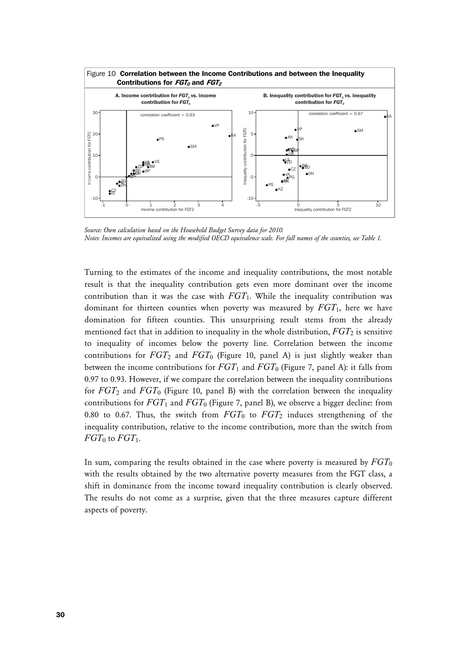

Source: Own calculation based on the Household Budget Survey data for 2010. *Notes: Incomes are equivalized using the modified OECD equivalence scale. For full names of the counties, see Table 1.* 

Turning to the estimates of the income and inequality contributions, the most notable result is that the inequality contribution gets even more dominant over the income contribution than it was the case with *FGT*1. While the inequality contribution was dominant for thirteen counties when poverty was measured by *FGT*1, here we have domination for fifteen counties. This unsurprising result stems from the already mentioned fact that in addition to inequality in the whole distribution,  $FGT_2$  is sensitive to inequality of incomes below the poverty line. Correlation between the income contributions for  $FGT_2$  and  $FGT_0$  (Figure 10, panel A) is just slightly weaker than between the income contributions for  $FGT_1$  and  $FGT_0$  (Figure 7, panel A): it falls from 0.97 to 0.93. However, if we compare the correlation between the inequality contributions for *FGT*<sub>2</sub> and *FGT*<sub>0</sub> (Figure 10, panel B) with the correlation between the inequality contributions for  $FGT_1$  and  $FGT_0$  (Figure 7, panel B), we observe a bigger decline: from 0.80 to 0.67. Thus, the switch from  $FGT_0$  to  $FGT_2$  induces strengthening of the inequality contribution, relative to the income contribution, more than the switch from  $FGT_0$  to  $FGT_1$ .

In sum, comparing the results obtained in the case where poverty is measured by  $FGT_0$ with the results obtained by the two alternative poverty measures from the FGT class, a shift in dominance from the income toward inequality contribution is clearly observed. The results do not come as a surprise, given that the three measures capture different aspects of poverty.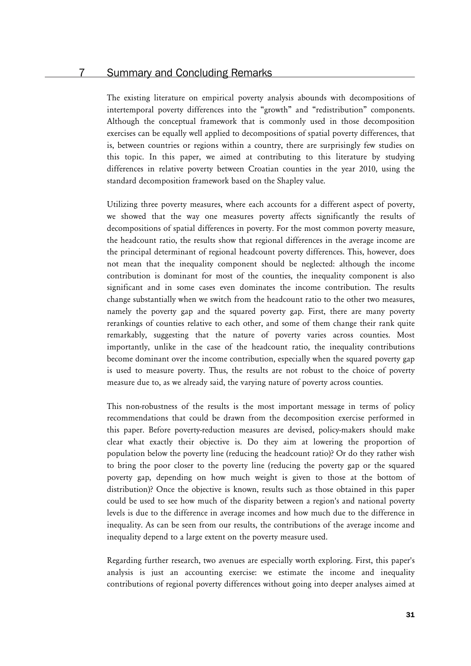# **Summary and Concluding Remarks**

The existing literature on empirical poverty analysis abounds with decompositions of intertemporal poverty differences into the "growth" and "redistribution" components. Although the conceptual framework that is commonly used in those decomposition exercises can be equally well applied to decompositions of spatial poverty differences, that is, between countries or regions within a country, there are surprisingly few studies on this topic. In this paper, we aimed at contributing to this literature by studying differences in relative poverty between Croatian counties in the year 2010, using the standard decomposition framework based on the Shapley value.

Utilizing three poverty measures, where each accounts for a different aspect of poverty, we showed that the way one measures poverty affects significantly the results of decompositions of spatial differences in poverty. For the most common poverty measure, the headcount ratio, the results show that regional differences in the average income are the principal determinant of regional headcount poverty differences. This, however, does not mean that the inequality component should be neglected: although the income contribution is dominant for most of the counties, the inequality component is also significant and in some cases even dominates the income contribution. The results change substantially when we switch from the headcount ratio to the other two measures, namely the poverty gap and the squared poverty gap. First, there are many poverty rerankings of counties relative to each other, and some of them change their rank quite remarkably, suggesting that the nature of poverty varies across counties. Most importantly, unlike in the case of the headcount ratio, the inequality contributions become dominant over the income contribution, especially when the squared poverty gap is used to measure poverty. Thus, the results are not robust to the choice of poverty measure due to, as we already said, the varying nature of poverty across counties.

This non-robustness of the results is the most important message in terms of policy recommendations that could be drawn from the decomposition exercise performed in this paper. Before poverty-reduction measures are devised, policy-makers should make clear what exactly their objective is. Do they aim at lowering the proportion of population below the poverty line (reducing the headcount ratio)? Or do they rather wish to bring the poor closer to the poverty line (reducing the poverty gap or the squared poverty gap, depending on how much weight is given to those at the bottom of distribution)? Once the objective is known, results such as those obtained in this paper could be used to see how much of the disparity between a region's and national poverty levels is due to the difference in average incomes and how much due to the difference in inequality. As can be seen from our results, the contributions of the average income and inequality depend to a large extent on the poverty measure used.

Regarding further research, two avenues are especially worth exploring. First, this paper's analysis is just an accounting exercise: we estimate the income and inequality contributions of regional poverty differences without going into deeper analyses aimed at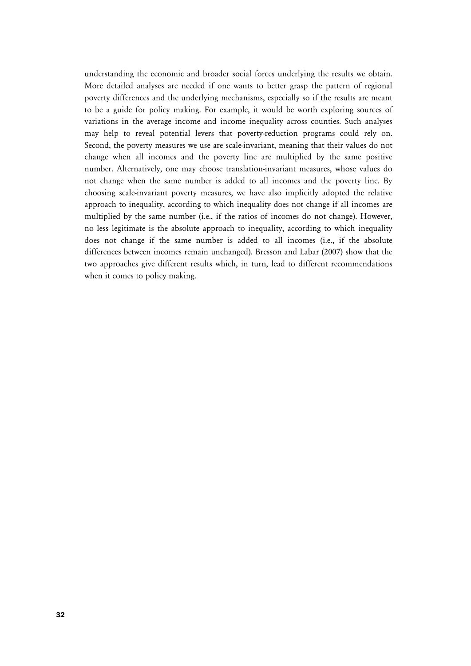understanding the economic and broader social forces underlying the results we obtain. More detailed analyses are needed if one wants to better grasp the pattern of regional poverty differences and the underlying mechanisms, especially so if the results are meant to be a guide for policy making. For example, it would be worth exploring sources of variations in the average income and income inequality across counties. Such analyses may help to reveal potential levers that poverty-reduction programs could rely on. Second, the poverty measures we use are scale-invariant, meaning that their values do not change when all incomes and the poverty line are multiplied by the same positive number. Alternatively, one may choose translation-invariant measures, whose values do not change when the same number is added to all incomes and the poverty line. By choosing scale-invariant poverty measures, we have also implicitly adopted the relative approach to inequality, according to which inequality does not change if all incomes are multiplied by the same number (i.e., if the ratios of incomes do not change). However, no less legitimate is the absolute approach to inequality, according to which inequality does not change if the same number is added to all incomes (i.e., if the absolute differences between incomes remain unchanged). Bresson and Labar (2007) show that the two approaches give different results which, in turn, lead to different recommendations when it comes to policy making.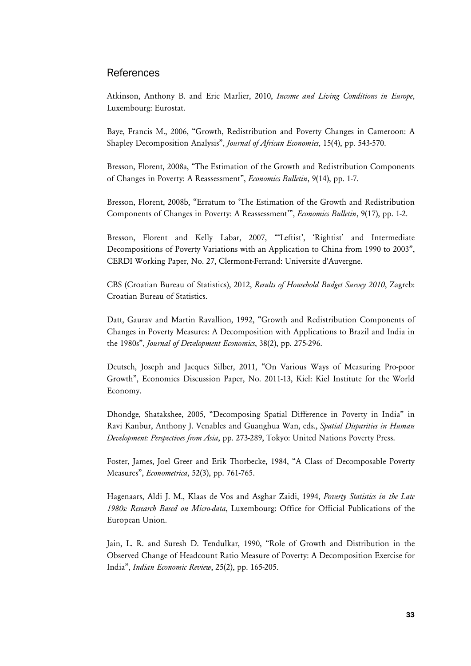# **References**

Atkinson, Anthony B. and Eric Marlier, 2010, *Income and Living Conditions in Europe*, Luxembourg: Eurostat.

Baye, Francis M., 2006, "Growth, Redistribution and Poverty Changes in Cameroon: A Shapley Decomposition Analysis", *Journal of African Economies*, 15(4), pp. 543-570.

Bresson, Florent, 2008a, "The Estimation of the Growth and Redistribution Components of Changes in Poverty: A Reassessment", *Economics Bulletin*, 9(14), pp. 1-7.

Bresson, Florent, 2008b, "Erratum to 'The Estimation of the Growth and Redistribution Components of Changes in Poverty: A Reassessment'", *Economics Bulletin*, 9(17), pp. 1-2.

Bresson, Florent and Kelly Labar, 2007, "'Leftist', 'Rightist' and Intermediate Decompositions of Poverty Variations with an Application to China from 1990 to 2003", CERDI Working Paper, No. 27, Clermont-Ferrand: Universite d'Auvergne.

CBS (Croatian Bureau of Statistics), 2012, *Results of Household Budget Survey 2010*, Zagreb: Croatian Bureau of Statistics.

Datt, Gaurav and Martin Ravallion, 1992, "Growth and Redistribution Components of Changes in Poverty Measures: A Decomposition with Applications to Brazil and India in the 1980s", *Journal of Development Economics*, 38(2), pp. 275-296.

Deutsch, Joseph and Jacques Silber, 2011, "On Various Ways of Measuring Pro-poor Growth", Economics Discussion Paper, No. 2011-13, Kiel: Kiel Institute for the World Economy.

Dhondge, Shatakshee, 2005, "Decomposing Spatial Difference in Poverty in India" in Ravi Kanbur, Anthony J. Venables and Guanghua Wan, eds., *Spatial Disparities in Human Development: Perspectives from Asia*, pp. 273-289, Tokyo: United Nations Poverty Press.

Foster, James, Joel Greer and Erik Thorbecke, 1984, "A Class of Decomposable Poverty Measures", *Econometrica*, 52(3), pp. 761-765.

Hagenaars, Aldi J. M., Klaas de Vos and Asghar Zaidi, 1994, *Poverty Statistics in the Late 1980s: Research Based on Micro-data*, Luxembourg: Office for Official Publications of the European Union.

Jain, L. R. and Suresh D. Tendulkar, 1990, "Role of Growth and Distribution in the Observed Change of Headcount Ratio Measure of Poverty: A Decomposition Exercise for India", *Indian Economic Review*, 25(2), pp. 165-205.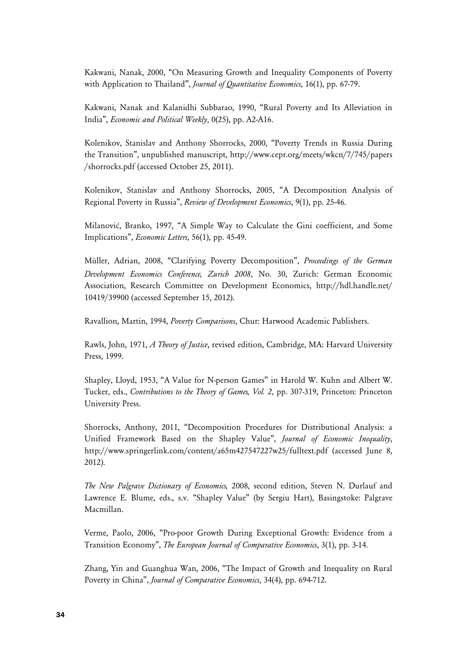Kakwani, Nanak, 2000, "On Measuring Growth and Inequality Components of Poverty with Application to Thailand", *Journal of Quantitative Economics*, 16(1), pp. 67-79.

Kakwani, Nanak and Kalanidhi Subbarao, 1990, "Rural Poverty and Its Alleviation in India", *Economic and Political Weekly*, 0(25), pp. A2-A16.

Kolenikov, Stanislav and Anthony Shorrocks, 2000, "Poverty Trends in Russia During the Transition", unpublished manuscript, http://www.cepr.org/meets/wkcn/7/745/papers /shorrocks.pdf (accessed October 25, 2011).

Kolenikov, Stanislav and Anthony Shorrocks, 2005, "A Decomposition Analysis of Regional Poverty in Russia", *Review of Development Economics*, 9(1), pp. 25-46.

Milanović, Branko, 1997, "A Simple Way to Calculate the Gini coefficient, and Some Implications", *Economic Letters*, 56(1), pp. 45-49.

Müller, Adrian, 2008, "Clarifying Poverty Decomposition", *Proceedings of the German Development Economics Conference, Zurich 2008*, No. 30, Zurich: German Economic Association, Research Committee on Development Economics, http://hdl.handle.net/ 10419/39900 (accessed September 15, 2012).

Ravallion, Martin, 1994, *Poverty Comparisons*, Chur: Harwood Academic Publishers.

Rawls, John, 1971, *A Theory of Justice*, revised edition, Cambridge, MA: Harvard University Press, 1999.

Shapley, Lloyd, 1953, "A Value for N-person Games" in Harold W. Kuhn and Albert W. Tucker, eds., *Contributions to the Theory of Games, Vol. 2*, pp. 307-319, Princeton: Princeton University Press.

Shorrocks, Anthony, 2011, "Decomposition Procedures for Distributional Analysis: a Unified Framework Based on the Shapley Value", *Journal of Economic Inequality*, http://www.springerlink.com/content/a65m427547227w25/fulltext.pdf (accessed June 8, 2012).

*The New Palgrave Dictionary of Economics,* 2008, second edition, Steven N. Durlauf and Lawrence E. Blume, eds., s.v. "Shapley Value" (by Sergiu Hart), Basingstoke: Palgrave Macmillan.

Verme, Paolo, 2006, "Pro-poor Growth During Exceptional Growth: Evidence from a Transition Economy", *The European Journal of Comparative Economics*, 3(1), pp. 3-14.

Zhang, Yin and Guanghua Wan, 2006, "The Impact of Growth and Inequality on Rural Poverty in China", *Journal of Comparative Economics*, 34(4), pp. 694-712.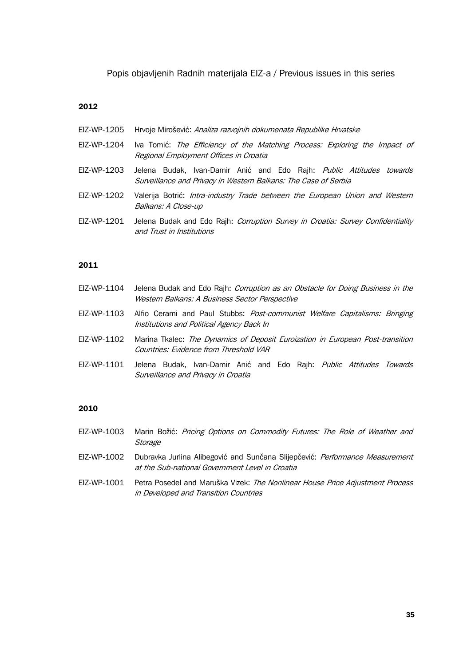Popis objavljenih Radnih materijala EIZ-a / Previous issues in this series

#### **2012**

- EIZ-WP-1205 Hrvoje Mirošević: Analiza razvojnih dokumenata Republike Hrvatske
- EIZ-WP-1204 Iva Tomić: The Efficiency of the Matching Process: Exploring the Impact of Regional Employment Offices in Croatia
- EIZ-WP-1203 Jelena Budak, Ivan-Damir Anić and Edo Raih: Public Attitudes towards Surveillance and Privacy in Western Balkans: The Case of Serbia
- EIZ-WP-1202 Valerija Botrić: Intra-industry Trade between the European Union and Western Balkans: A Close-up
- EIZ-WP-1201 Jelena Budak and Edo Rajh: Corruption Survey in Croatia: Survey Confidentiality and Trust in Institutions

### **2011**

- EIZ-WP-1104 Jelena Budak and Edo Rajh: *Corruption as an Obstacle for Doing Business in the* Western Balkans: A Business Sector Perspective
- EIZ-WP-1103 Alfio Cerami and Paul Stubbs: Post-communist Welfare Capitalisms: Bringing Institutions and Political Agency Back In
- EIZ-WP-1102 Marina Tkalec: The Dynamics of Deposit Euroization in European Post-transition Countries: Evidence from Threshold VAR
- EIZ-WP-1101 Jelena Budak, Ivan-Damir Anić and Edo Rajh: Public Attitudes Towards Surveillance and Privacy in Croatia

#### **2010**

- EIZ-WP-1003 Marin Božić: Pricing Options on Commodity Futures: The Role of Weather and **Storage**
- EIZ-WP-1002 Dubravka Jurlina Alibegović and Sunčana Slijepčević: Performance Measurement at the Sub-national Government Level in Croatia
- EIZ-WP-1001 Petra Posedel and Maruška Vizek: The Nonlinear House Price Adjustment Process in Developed and Transition Countries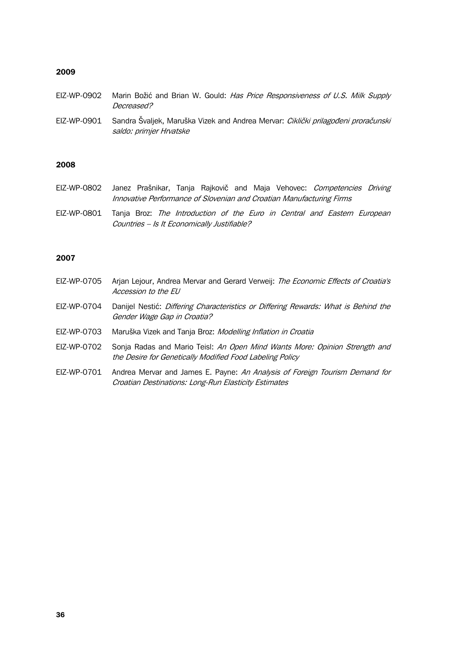### **2009**

- EIZ-WP-0902 Marin Božić and Brian W. Gould: Has Price Responsiveness of U.S. Milk Supply Decreased?
- EIZ-WP-0901 Sandra Švaljek, Maruška Vizek and Andrea Mervar: Ciklički prilagođeni proračunski saldo: primjer Hrvatske

### **2008**

- EIZ-WP-0802 Janez Prašnikar, Tanja Rajkovič and Maja Vehovec: Competencies Driving Innovative Performance of Slovenian and Croatian Manufacturing Firms
- EIZ-WP-0801 Tanja Broz: The Introduction of the Euro in Central and Eastern European Countries – Is It Economically Justifiable?

# **2007**

| EIZ-WP-0705 | Arjan Lejour, Andrea Mervar and Gerard Verweij: The Economic Effects of Croatia's<br>Accession to the EU                               |
|-------------|----------------------------------------------------------------------------------------------------------------------------------------|
| EIZ-WP-0704 | Danijel Nestić: <i>Differing Characteristics or Differing Rewards: What is Behind the</i><br>Gender Wage Gap in Croatia?               |
| EIZ-WP-0703 | Maruška Vizek and Tanja Broz: Modelling Inflation in Croatia                                                                           |
| EIZ-WP-0702 | Sonja Radas and Mario Teisl: An Open Mind Wants More: Opinion Strength and<br>the Desire for Genetically Modified Food Labeling Policy |
| EIZ-WP-0701 | Andrea Mervar and James E. Payne: An Analysis of Foreign Tourism Demand for<br>Croatian Destinations: Long-Run Elasticity Estimates    |